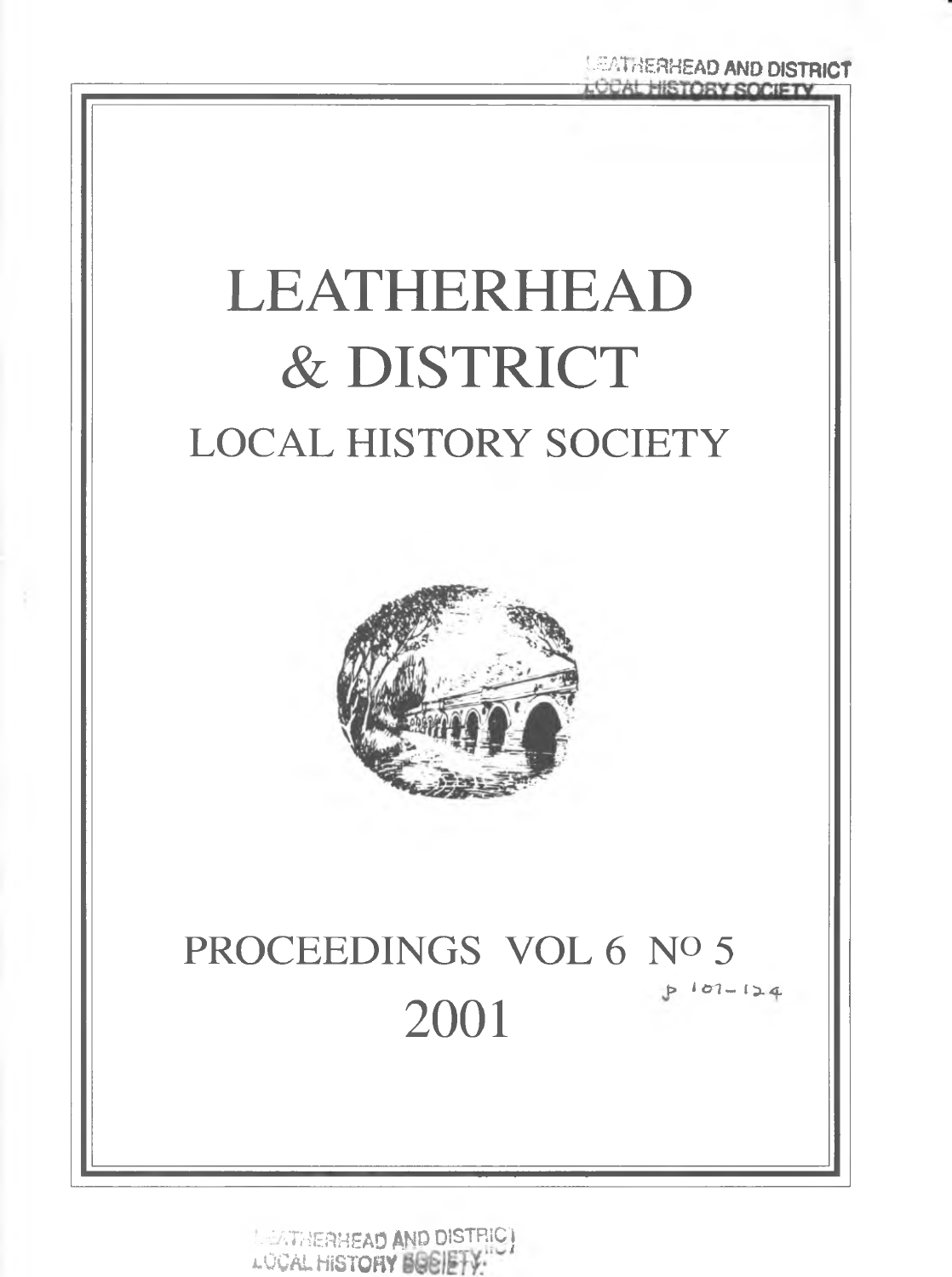

**INDICATAERHEAD AND DISTRIC)** LOCAL HISTORY BOSIETY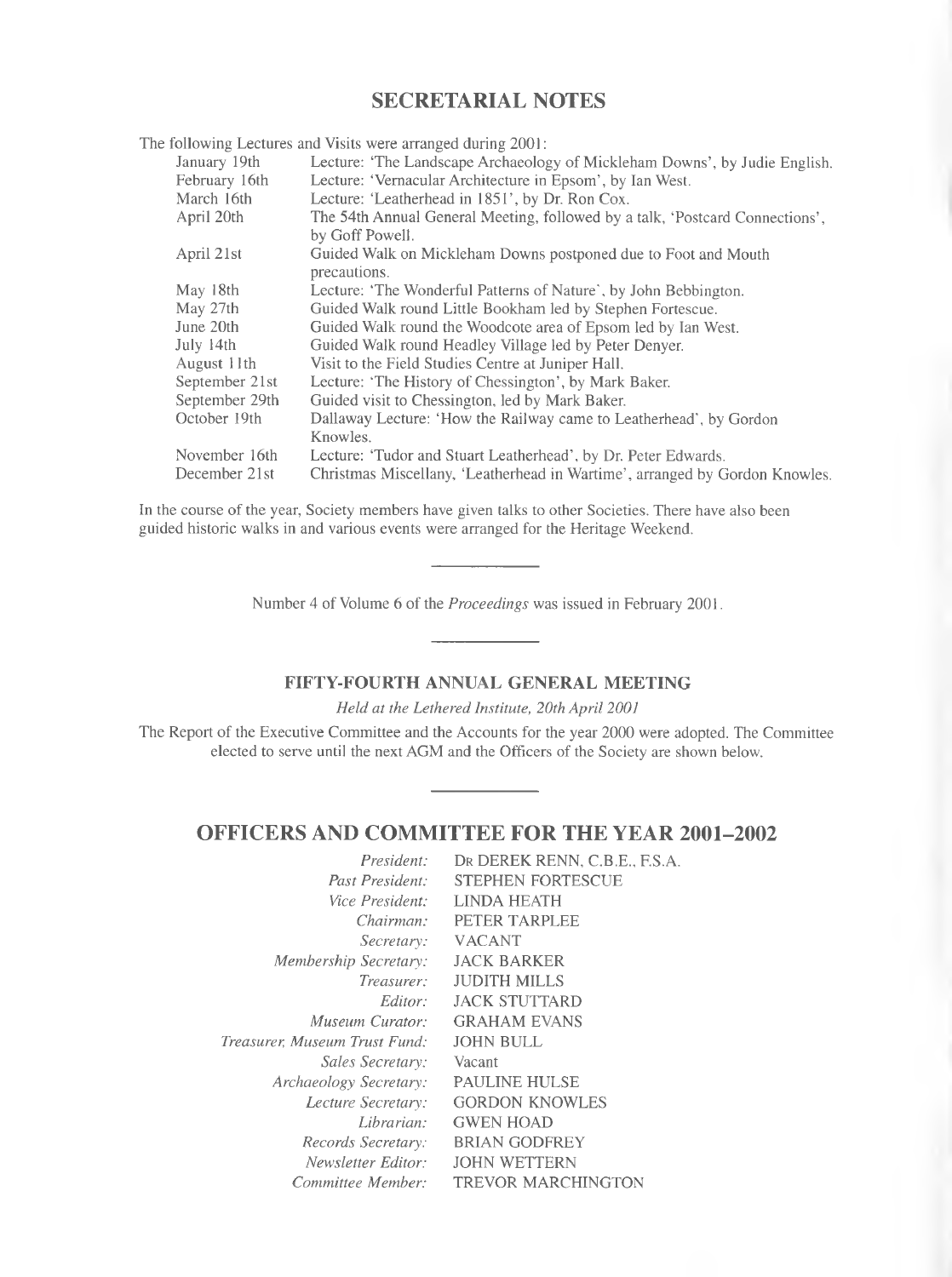# **SECRETARIAL NOTES**

The following Lectures and Visits were arranged during 2001 January 19th February 16th March 16th April 20th A pril 21st May 18th May 27th June 20th July 14th August 11th September 21st September 29th October 19th November 16th December 21st Lecture: 'The Landscape Archaeology of Mickleham Downs', by Judie English. Lecture: 'Vernacular Architecture in Epsom', by Ian West. Lecture: 'Leatherhead in 1851', by Dr. Ron Cox. The 54th Annual General Meeting, followed by a talk, 'Postcard Connections', by Goff Powell. Guided Walk on Mickleham Downs postponed due to Foot and Mouth precautions. Lecture: 'The Wonderful Patterns of Nature', by John Bebbington. Guided Walk round Little Bookham led by Stephen Fortescue. Guided Walk round the Woodcote area of Epsom led by Ian West. Guided Walk round Headley Village led by Peter Denyer. Visit to the Field Studies Centre at Juniper Hall. Lecture: 'The History of Chessington', by Mark Baker. Guided visit to Chessington, led by Mark Baker. Dallaway Lecture: 'How the Railway came to Leatherhead', by Gordon Knowles. Lecture: 'Tudor and Stuart Leatherhead', by Dr. Peter Edwards. Christmas Miscellany, 'Leatherhead in Wartime', arranged by Gordon Knowles.

In the course of the year, Society members have given talks to other Societies. There have also been guided historic walks in and various events were arranged for the Heritage Weekend.

Number 4 of Volume 6 of the *Proceedings* was issued in February 2001.

# FIFTY-FOURTH ANNUAL GENERAL MEETING

*Held at the Lethered Institute, 20th April 2001* 

The Report of the Executive Committee and the Accounts for the year 2000 were adopted. The Committee elected to serve until the next AGM and the Officers of the Society are shown below.

# **OFFICERS AND COMMITTEE FOR THE YEAR 2001-2002**

| President:                    | DR DEREK RENN, C.B.E., F.S.A. |
|-------------------------------|-------------------------------|
| Past President:               | <b>STEPHEN FORTESCUE</b>      |
| <i>Vice President:</i>        | <b>LINDA HEATH</b>            |
| Chairman:                     | PETER TARPLEE                 |
| Secretary:                    | <b>VACANT</b>                 |
| Membership Secretary:         | <b>JACK BARKER</b>            |
| Treasurer:                    | <b>JUDITH MILLS</b>           |
| Editor:                       | <b>JACK STUTTARD</b>          |
| Museum Curator:               | <b>GRAHAM EVANS</b>           |
| Treasurer. Museum Trust Fund: | <b>JOHN BULL</b>              |
| Sales Secretary:              | Vacant                        |
| Archaeology Secretary:        | <b>PAULINE HULSE</b>          |
| Lecture Secretary:            | <b>GORDON KNOWLES</b>         |
| Librarian:                    | <b>GWEN HOAD</b>              |
| Records Secretary:            | <b>BRIAN GODFREY</b>          |
| Newsletter Editor:            | <b>JOHN WETTERN</b>           |
| Committee Member:             | <b>TREVOR MARCHINGTON</b>     |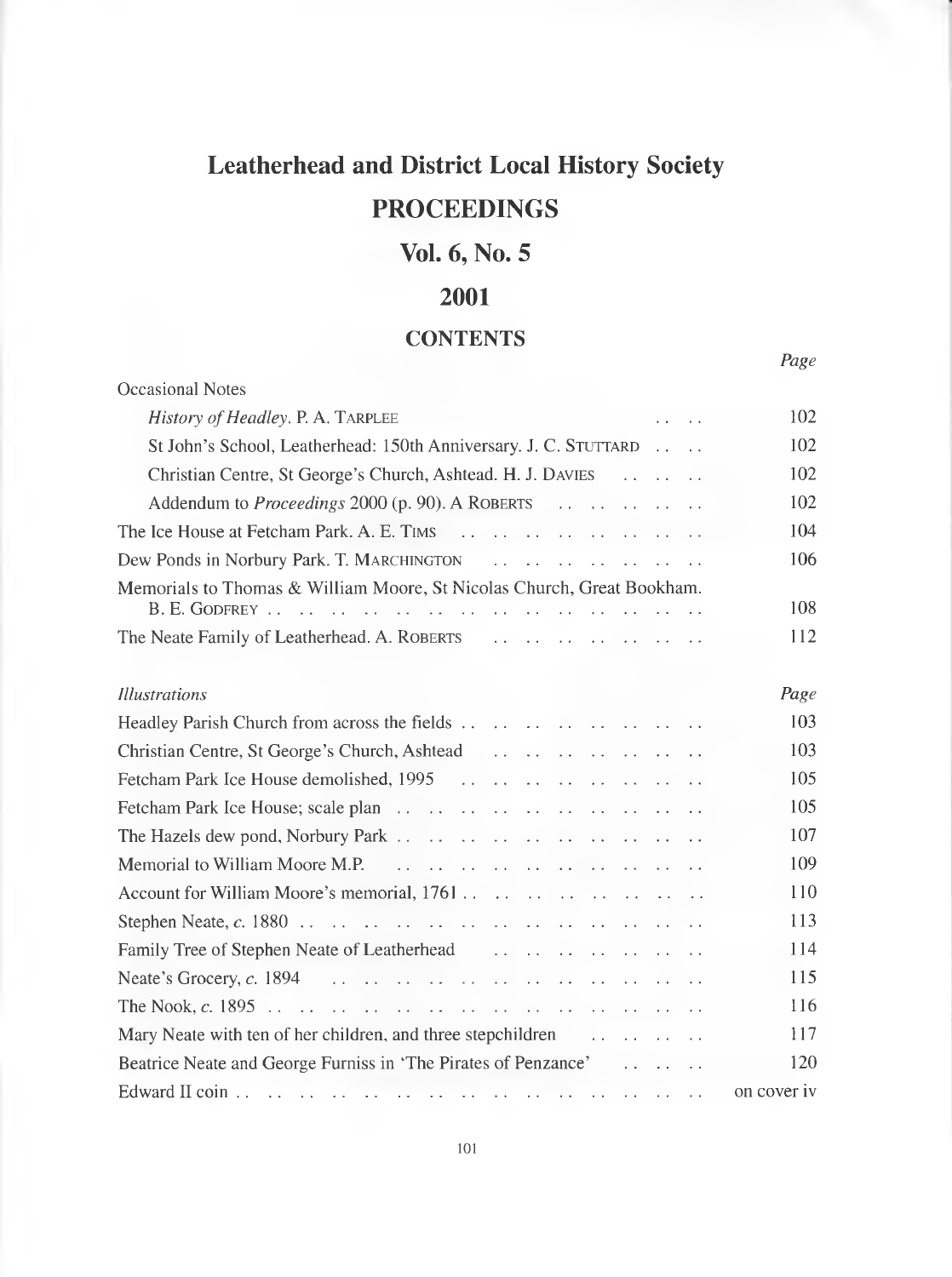# **Leatherhead and District Local History Society PROCEEDINGS**

# **Vol.** *6,* **No. 5**

# **2001**

# **CONTENTS**

*Page*

Occasional Notes *History o f Headley.* P. A. Tarplee .. .. 102 St John's School, Leatherhead: 150th Anniversary. J. C. STUTTARD ... .. 102 Christian Centre, St George's Church, Ashtead. H. J. Davies ................. 102 Addendum to *Proceedings* 2000 (p. 90). A R oberts ................................ 102 The Ice House at Fetcham Park. A. E. Tims ....................................................... 104 Dew Ponds in Norbury Park. T. Marchington ............................................... 106 Memorials to Thomas & William Moore, St Nicolas Church, Great Bookham. B. E. God frey.................................................................................................... 108 The Neate Family of Leatherhead. A. Roberts [................................................ 112](#page-13-0) *Illustrations Page* Headley Parish Church from across the fie ld s....................................................... 103 Christian Centre, St George's Church, Ashtead ................................................ 103 Fetcham Park Ice House demolished, 1995 ....................................................... 105 Fetcham Park Ice House; scale p l a n ...................................................................... 105 The Hazels dew pond, Norbury P a rk ...................................................................... 107 Memorial to William Moore M.P. ...................................................................... 109 Account for William Moore's memorial, 1761....................................................... 110 Stephen Neate, *c.* 1880 ............................................................................................. 113 Family Tree of Stephen Neate of Leatherhead ............................................... 114 Neate's Grocery, *c.* 1894 ..................................................................................... 115 The Nook, *c.* 1895 .................................................................................................... 116 Mary Neate with ten of her children, and three stepchildren ......................... 117 Beatrice Neate and George Furniss in 'The Pirates of Penzance' ................. 120 Edward II c o in ............................................................................................................ on cover iv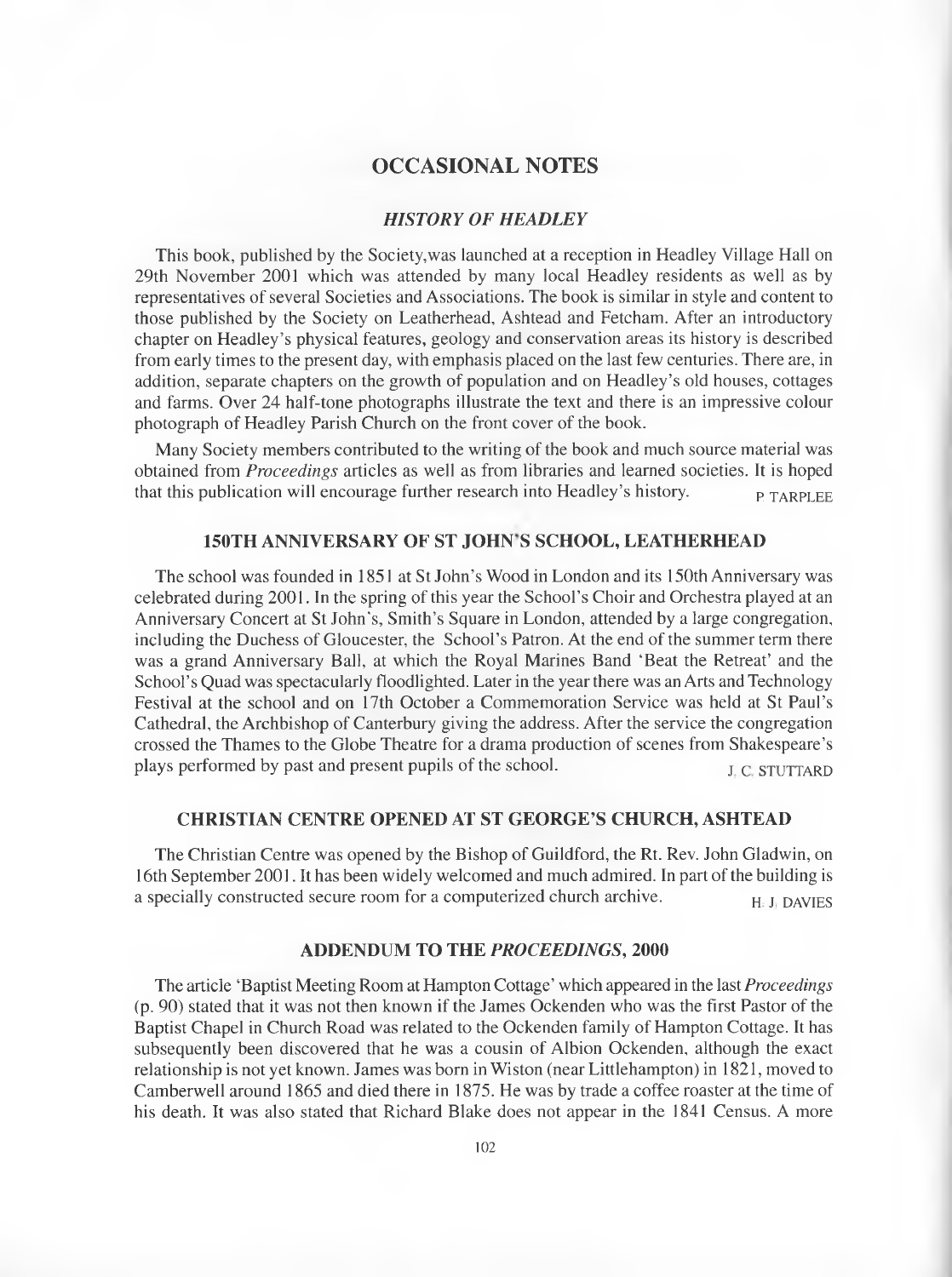# **OCCASIONAL NOTES**

# **HISTORY OF HEADLEY**

This book, published by the Society,was launched at a reception in Headley Village Hall on 29th November 2001 which was attended by many local Headley residents as well as by representatives of several Societies and Associations. The book is similar in style and content to those published by the Society on Leatherhead, Ashtead and Fetcham. After an introductory chapter on Headley's physical features, geology and conservation areas its history is described from early times to the present day, with emphasis placed on the last few centuries. There are, in addition, separate chapters on the growth of population and on Headley's old houses, cottages and farms. Over 24 half-tone photographs illustrate the text and there is an impressive colour photograph of Headley Parish Church on the front cover of the book.

Many Society members contributed to the writing of the book and much source material was obtained from *Proceedings* articles as well as from libraries and learned societies. It is hoped that this publication will encourage further research into Headley's history.  $P_{\text{TRRPI, EE}}$ 

# **150TH ANNIVERSARY OF ST JOHN S SCHOOL, LEATHERHEAD**

The school was founded in 1851 at St John's Wood in London and its 150th Anniversary was celebrated during 2001. In the spring of this year the School's Choir and Orchestra played at an Anniversary Concert at St John's, Smith's Square in London, attended by a large congregation, including the Duchess of Gloucester, the School's Patron. At the end of the summer term there was a grand Anniversary Ball, at which the Royal Marines Band 'Beat the Retreat' and the School's Quad was spectacularly floodlighted. Later in the year there was an Arts and Technology Festival at the school and on 17th October a Commemoration Service was held at St Paul's Cathedral, the Archbishop of Canterbury giving the address. After the service the congregation crossed the Thames to the Globe Theatre for a drama production of scenes from Shakespeare's plays performed by past and present pupils of the school. J. C. STUTTARD

#### **CHRISTIAN CENTRE OPENED AT ST GEORGE'S CHURCH, ASHTEAD**

The Christian Centre was opened by the Bishop of Guildford, the Rt. Rev. John Gladwin, on 16th September 2001. It has been widely welcomed and much admired. In part of the building is a specially constructed secure room for a computerized church archive.  $H_{\text{H}}$  J, DAVIES

# **ADDENDUM TO THE** *PROCEEDINGS,* **2000**

The article 'Baptist Meeting Room at Hampton Cottage' which appeared in the last *Proceedings* (p. 90) stated that it was not then known if the James Ockenden who was the first Pastor of the Baptist Chapel in Church Road was related to the Ockenden family of Hampton Cottage. It has subsequently been discovered that he was a cousin of Albion Ockenden, although the exact relationship is not yet known. James was born in Wiston (near Littlehampton) in 1821, moved to Camberwell around 1865 and died there in 1875. He was by trade a coffee roaster at the time of his death. It was also stated that Richard Blake does not appear in the 1841 Census. A more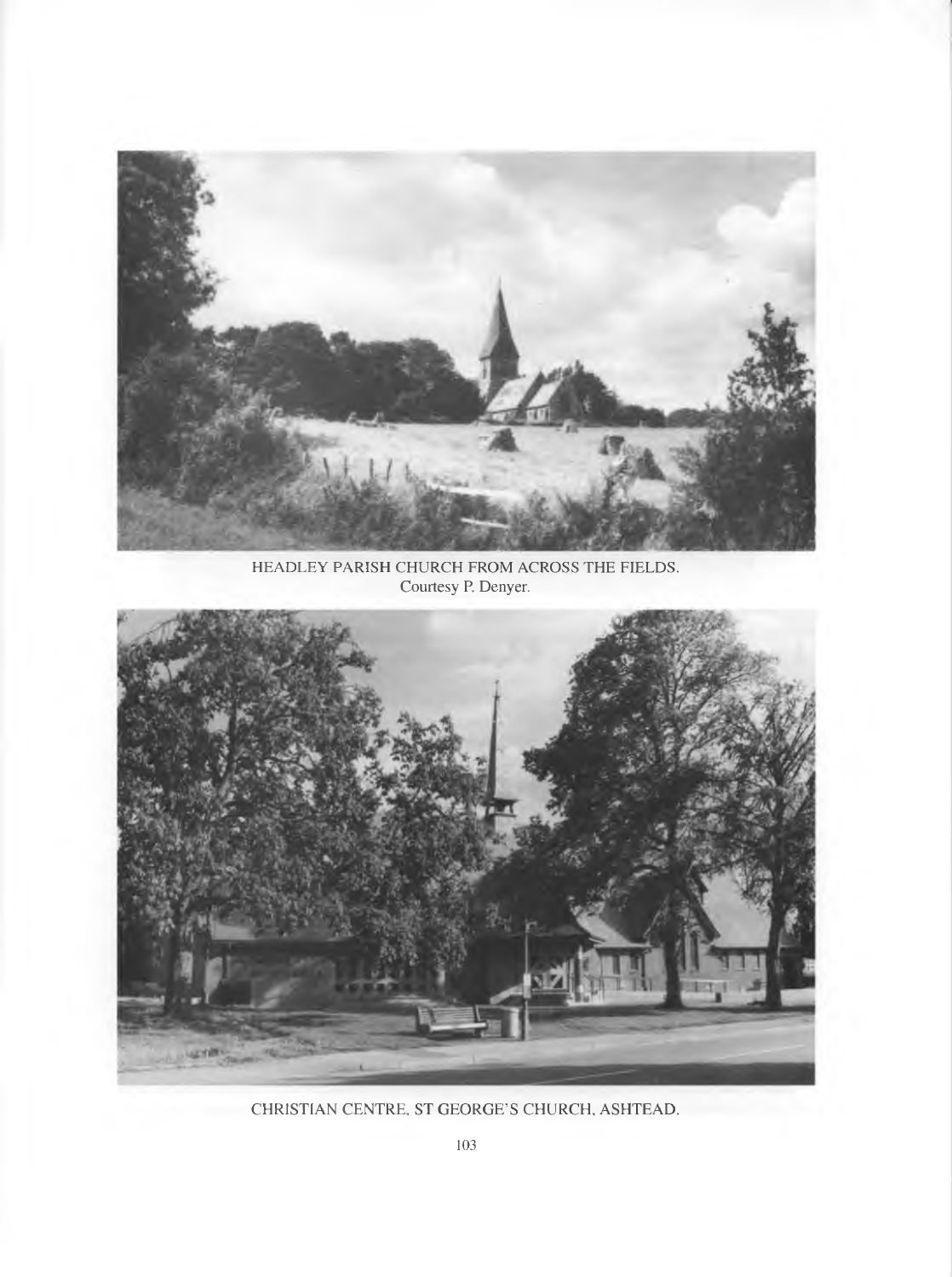

HEADLEY PARISH CHURCH FROM ACROSS THE FIELDS. Courtesy P. Denyer.



CHRISTIAN CENTRE, ST GEORGE'S CHURCH, ASHTEAD.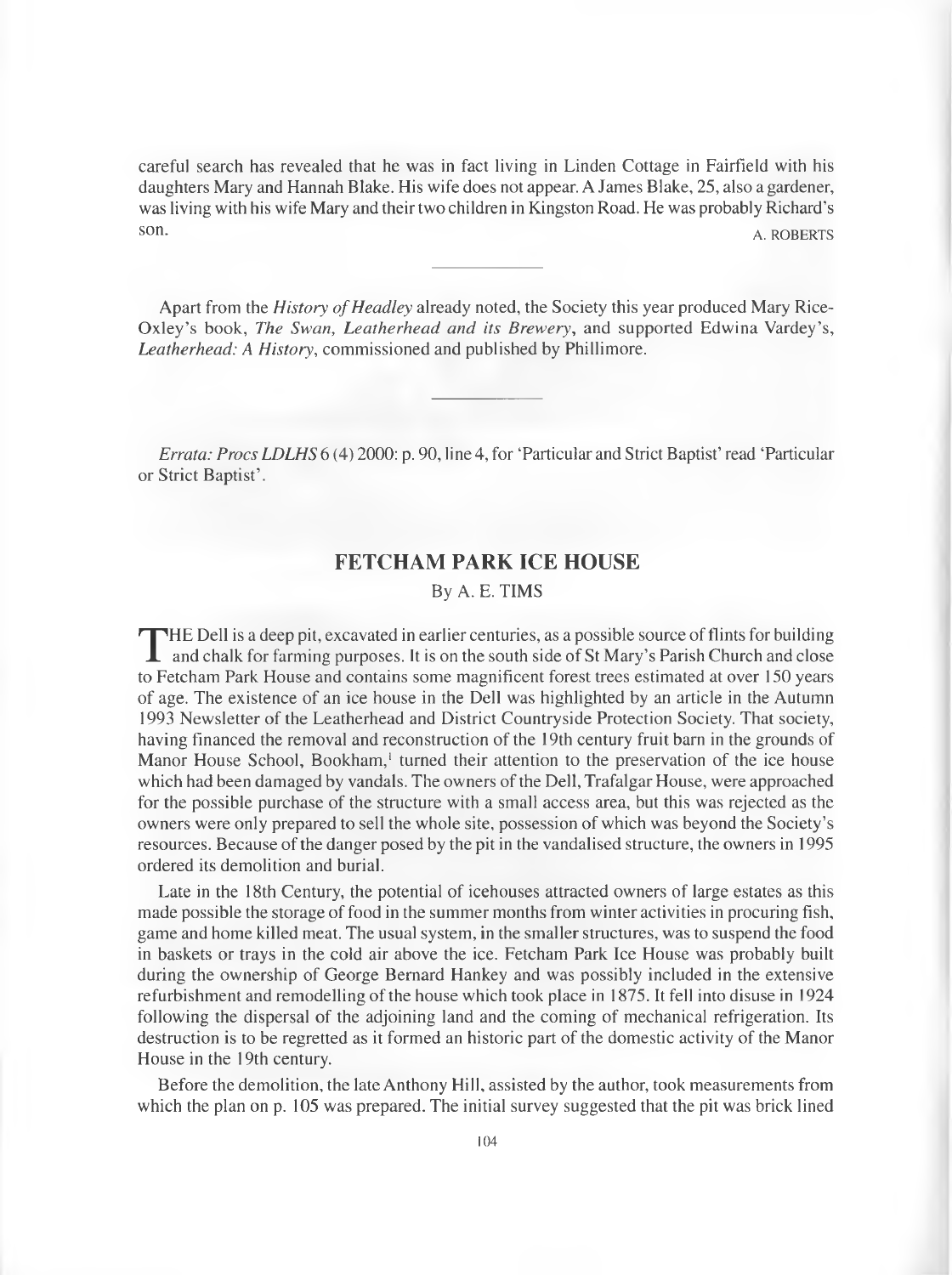careful search has revealed that he was in fact living in Linden Cottage in Fairfield with his daughters Mary and Hannah Blake. His wife does not appear. A James Blake, 25, also a gardener, was living with his wife Mary and their two children in Kingston Road. He was probably Richard's s on A. ROBERTS

Apart from the *History of Headley* already noted, the Society this year produced Mary Rice-Oxley's book, *The Swan*, *Leatherhead and its Brewery,* and supported Edwina Vardey's, *Leatherhead: A History,* commissioned and published by Phillimore.

*Errata: Procs LDLHS* 6 (4) 2000: p. 90, line 4, for 'Particular and Strict Baptist' read 'Particular or Strict Baptist'.

# **FETCHAM PARK ICE HOUSE**

## By A. E. TIMS

THE Dell is a deep pit, excavated in earlier centuries, as a possible source of flints for building<br>and chalk for farming purposes. It is on the south side of St Mary's Parish Church and close<br>to Eatcham Park House and con **HE Dell is a deep pit, excavated in earlier centuries, as a possible source of flints for building** to Fetcham Park House and contains some magnificent forest trees estimated at over 150 years of age. The existence of an ice house in the Dell was highlighted by an article in the Autumn 1993 Newsletter of the Leatherhead and District Countryside Protection Society. That society, having financed the removal and reconstruction of the 19th century fruit barn in the grounds of Manor House School, Bookham,<sup>1</sup> turned their attention to the preservation of the ice house which had been damaged by vandals. The owners of the Dell, Trafalgar House, were approached for the possible purchase of the structure with a small access area, but this was rejected as the owners were only prepared to sell the whole site, possession of which was beyond the Society's resources. Because of the danger posed by the pit in the vandalised structure, the owners in 1995 ordered its demolition and burial.

Late in the 18th Century, the potential of icehouses attracted owners of large estates as this made possible the storage of food in the summer months from winter activities in procuring fish, game and home killed meat. The usual system, in the smaller structures, was to suspend the food in baskets or trays in the cold air above the ice. Fetcham Park Ice House was probably built during the ownership of George Bernard Hankey and was possibly included in the extensive refurbishment and remodelling of the house which took place in 1875. It fell into disuse in 1924 following the dispersal of the adjoining land and the coming of mechanical refrigeration. Its destruction is to be regretted as it formed an historic part of the domestic activity of the Manor House in the 19th century.

Before the demolition, the late Anthony Hill, assisted by the author, took measurements from which the plan on p. 105 was prepared. The initial survey suggested that the pit was brick lined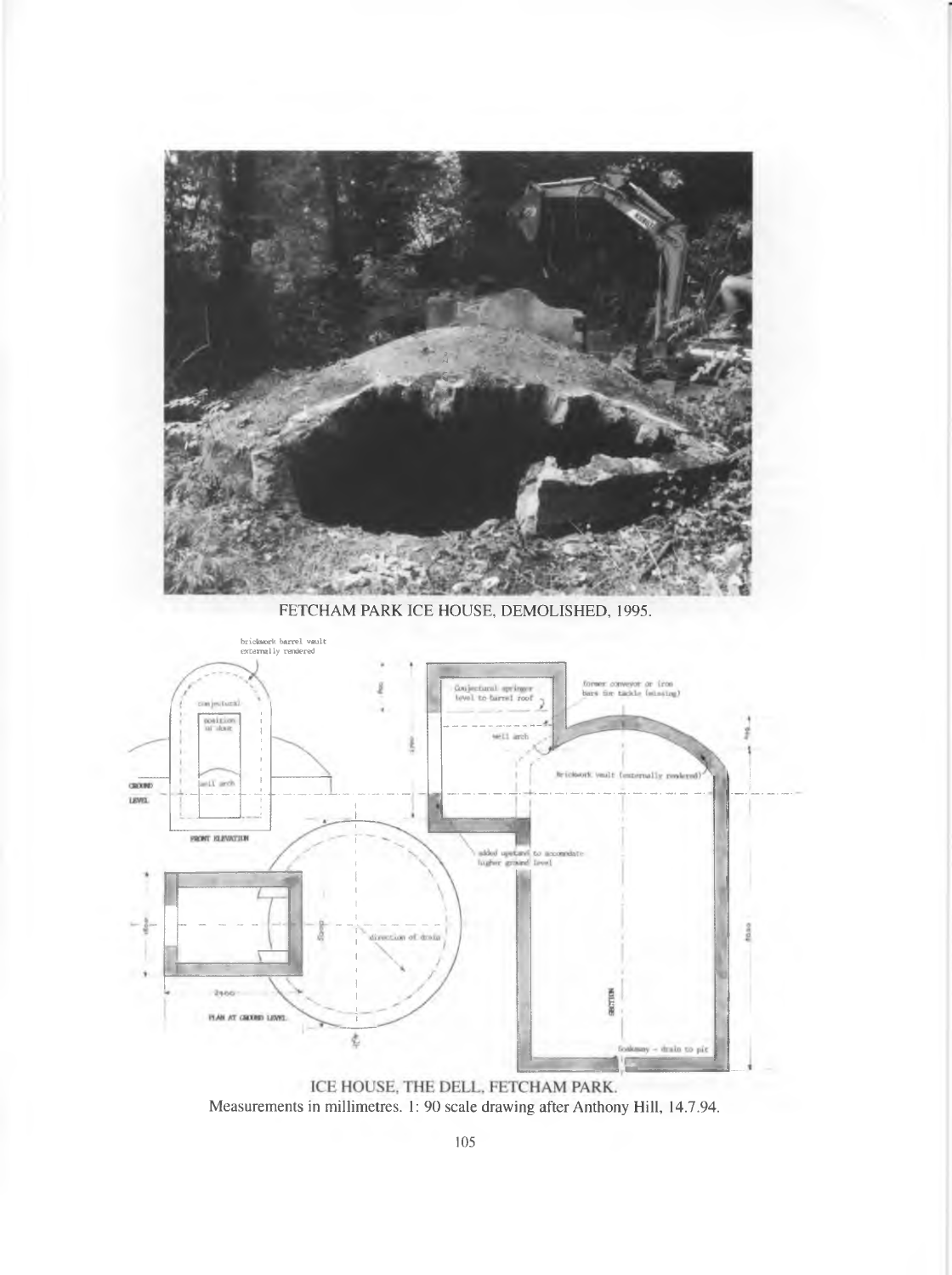

FETCHAM PARK ICE HOUSE, DEMOLISHED, 1995.



ICE HOUSE, THE DELL, FETCHAM PARK. Measurements in millimetres. 1: 90 scale drawing after Anthony Hill, 14.7.94.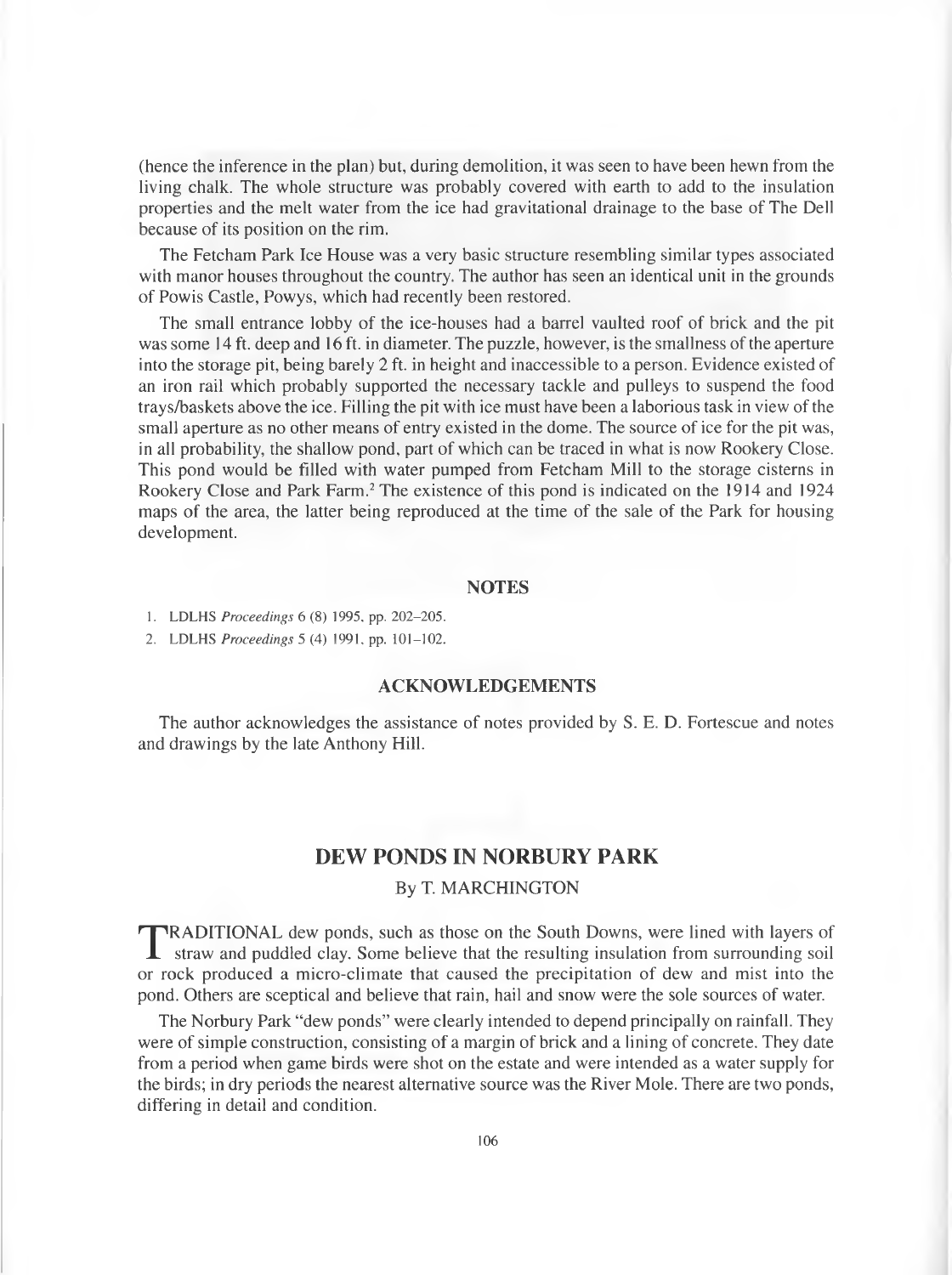(hence the inference in the plan) but, during demolition, it was seen to have been hewn from the living chalk. The whole structure was probably covered with earth to add to the insulation properties and the melt water from the ice had gravitational drainage to the base of The Dell because of its position on the rim.

The Fetcham Park Ice House was a very basic structure resembling similar types associated with manor houses throughout the country. The author has seen an identical unit in the grounds of Powis Castle, Powys, which had recently been restored.

The small entrance lobby of the ice-houses had a barrel vaulted roof of brick and the pit was some 14 ft. deep and 16 ft. in diameter. The puzzle, however, is the smallness of the aperture into the storage pit, being barely 2 ft. in height and inaccessible to a person. Evidence existed of an iron rail which probably supported the necessary tackle and pulleys to suspend the food trays/baskets above the ice. Filling the pit with ice must have been a laborious task in view of the small aperture as no other means of entry existed in the dome. The source of ice for the pit was, in all probability, the shallow pond, part of which can be traced in what is now Rookery Close. This pond would be filled with water pumped from Fetcham Mill to the storage cisterns in Rookery Close and Park Farm.2 The existence of this pond is indicated on the 1914 and 1924 maps of the area, the latter being reproduced at the time of the sale of the Park for housing development.

# **NOTES**

1. LDLHS *Proceedings* 6 (8) 1995. pp. 202-205.

2. LDLHS *Proceedings* 5 (4) 1991, pp. 101-102.

# **ACKNOWLEDGEMENTS**

The author acknowledges the assistance of notes provided by S. E. D. Fortescue and notes and drawings by the late Anthony Hill.

# **DEW PONDS IN NORBURY PARK**

## By T. MARCHINGTON

**TRADITIONAL** dew ponds, such as those on the South Downs, were lined with layers of straw and puddled clay. Some believe that the resulting insulation from surrounding soil or rock produced a micro climate that caused the RADITIONAL dew ponds, such as those on the South Downs, were lined with layers of or rock produced a micro-climate that caused the precipitation of dew and mist into the pond. Others are sceptical and believe that rain, hail and snow were the sole sources of water.

The Norbury Park "dew ponds" were clearly intended to depend principally on rainfall. They were of simple construction, consisting of a margin of brick and a lining of concrete. They date from a period when game birds were shot on the estate and were intended as a water supply for the birds; in dry periods the nearest alternative source was the River Mole. There are two ponds, differing in detail and condition.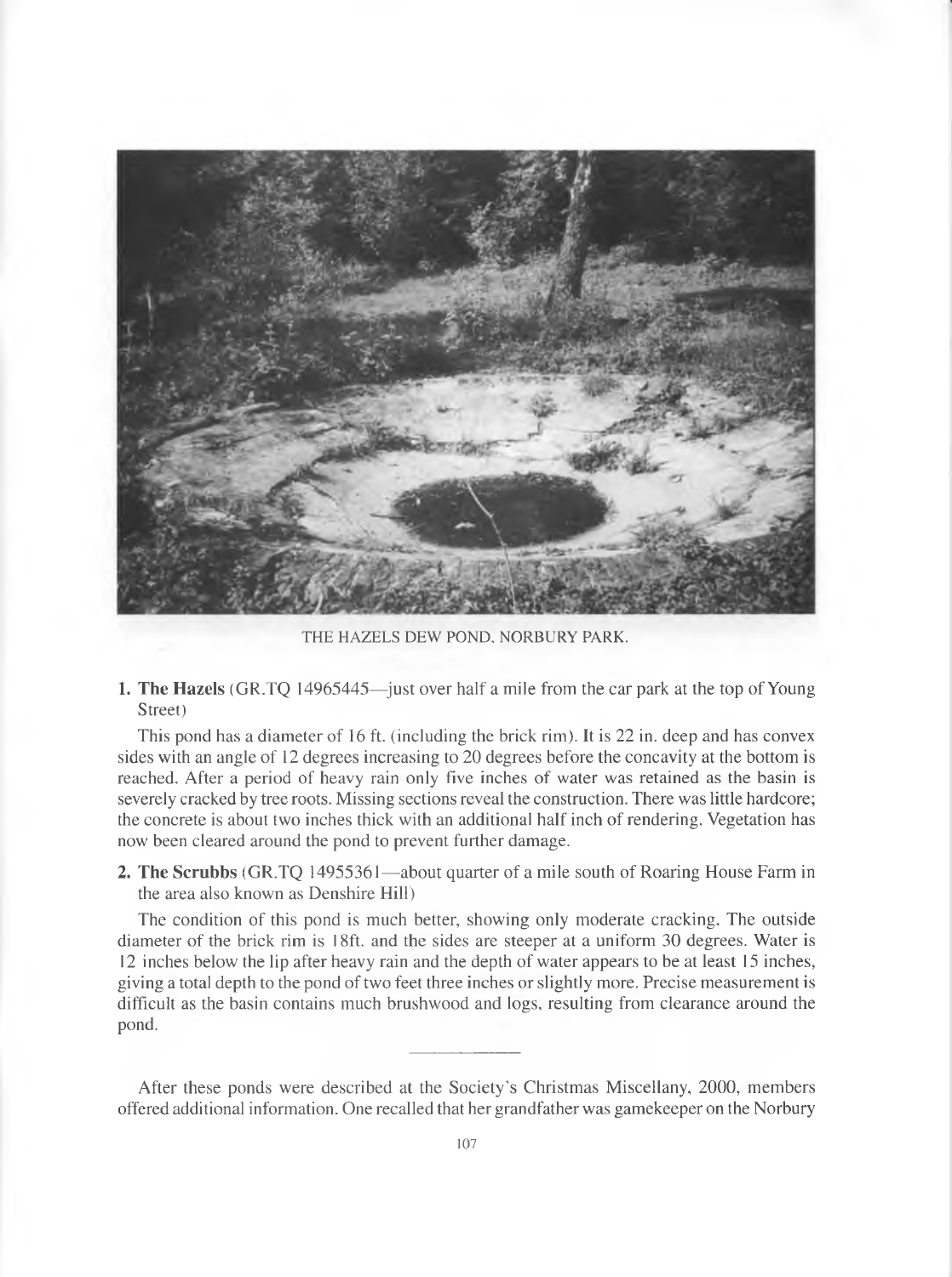

THE HAZELS DEW POND, NORBURY PARK.

**1. The Hazels** (GR.TQ 14965445—just over half a mile from the car park at the top of Young Street)

This pond has a diameter of 16 ft. (including the brick rim). It is 22 in. deep and has convex sides with an angle of 12 degrees increasing to 20 degrees before the concavity at the bottom is reached. After a period of heavy rain only five inches of water was retained as the basin is severely cracked by tree roots. Missing sections reveal the construction. There was little hardcore; the concrete is about two inches thick with an additional half inch of rendering. Vegetation has now been cleared around the pond to prevent further damage.

**2. The Scrubbs** (GR.TQ 14955361—about quarter of a mile south of Roaring House Farm in the area also known as Denshire Hill)

The condition of this pond is much better, showing only moderate cracking. The outside diameter of the brick rim is 18ft. and the sides are steeper at a uniform 30 degrees. Water is 12 inches below the lip after heavy rain and the depth of water appears to be at least 15 inches, giving a total depth to the pond of two feet three inches or slightly more. Precise measurement is difficult as the basin contains much brushwood and logs, resulting from clearance around the pond.

After these ponds were described at the Society's Christmas Miscellany, 2000, members offered additional information. One recalled that her grandfather was gamekeeper on the Norbury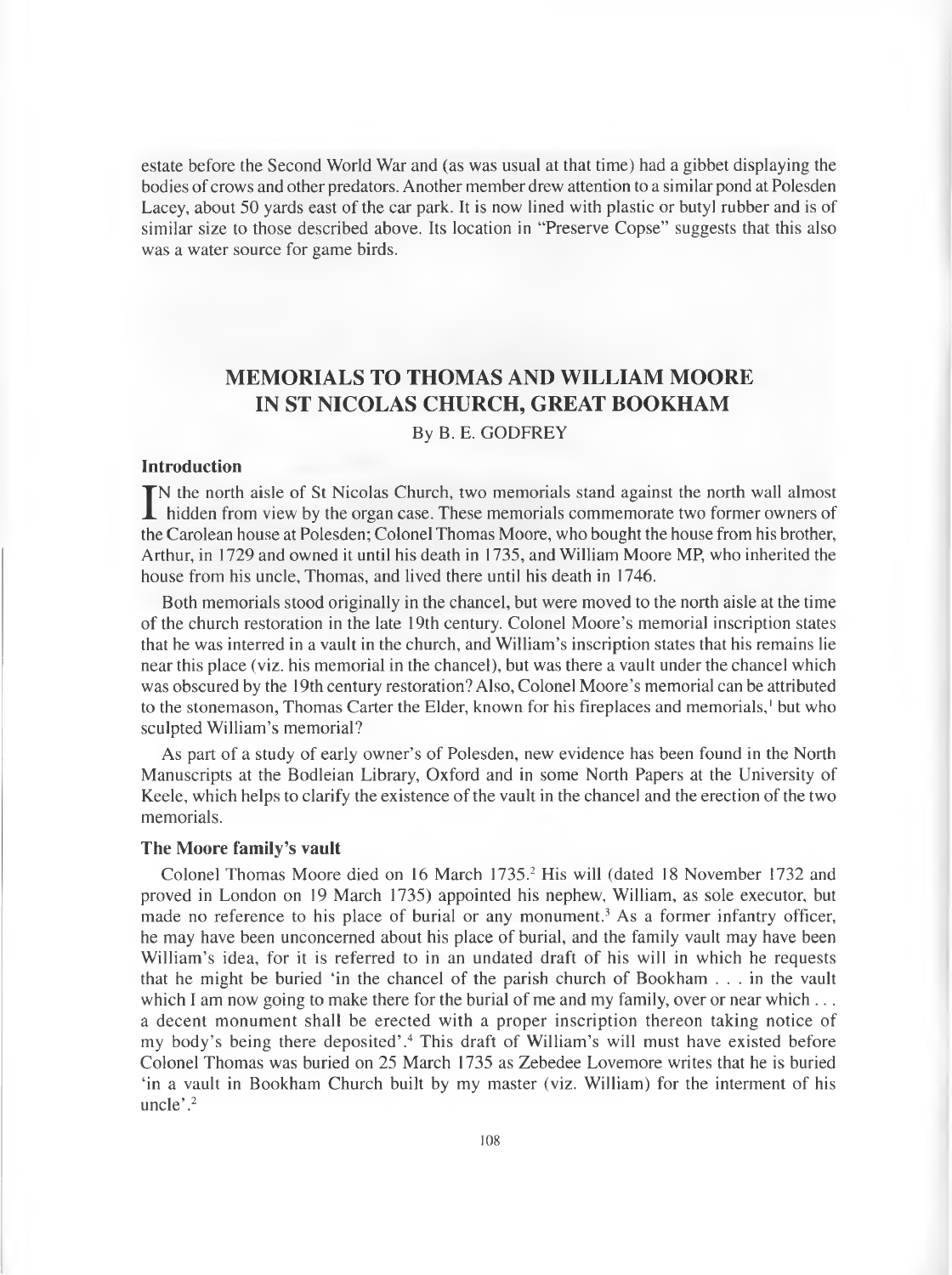estate before the Second World War and (as was usual at that time) had a gibbet displaying the bodies of crows and other predators. Another member drew attention to a similar pond at Polesden Lacey, about 50 yards east of the car park. It is now lined with plastic or butyl rubber and is of similar size to those described above. Its location in "Preserve Copse" suggests that this also was a water source for game birds.

# **MEMORIALS TO THOMAS AND WILLIAM MOORE IN ST NICOLAS CHURCH, GREAT BOOKHAM**

By B. E. GODFREY

# **Introduction**

IN the north aisle of St Nicolas Church, two memorials stand against the north wall almost<br>hidden from view by the organ case. These memorials commemorate two former owners of<br>the Caralage haves at Palacdary Calagel Thomas N the north aisle of St Nicolas Church, two memorials stand against the north wall almost the Carolean house at Polesden; Colonel Thomas Moore, who bought the house from his brother, Arthur, in 1729 and owned it until his death in 1735, and William Moore MP, who inherited the house from his uncle, Thomas, and lived there until his death in 1746.

Both memorials stood originally in the chancel, but were moved to the north aisle at the time of the church restoration in the late 19th century. Colonel Moore's memorial inscription states that he was interred in a vault in the church, and William's inscription states that his remains lie near this place (viz. his memorial in the chancel), but was there a vault under the chancel which was obscured by the 19th century restoration? Also, Colonel Moore's memorial can be attributed to the stonemason, Thomas Carter the Elder, known for his fireplaces and memorials,<sup>1</sup> but who sculpted William's memorial?

As part of a study of early owner's of Polesden, new evidence has been found in the North Manuscripts at the Bodleian Library, Oxford and in some North Papers at the University of Keele, which helps to clarify the existence of the vault in the chancel and the erection of the two memorials.

#### **The Moore family's vault**

Colonel Thomas Moore died on 16 March 1735.2 His will (dated 18 November 1732 and proved in London on 19 March 1735) appointed his nephew, William, as sole executor, but made no reference to his place of burial or any monument.<sup>3</sup> As a former infantry officer, he may have been unconcerned about his place of burial, and the family vault may have been William's idea, for it is referred to in an undated draft of his will in which he requests that he might be buried 'in the chancel of the parish church of Bookham . . . in the vault which I am now going to make there for the burial of me and my family, over or near which  $\dots$ a decent monument shall be erected with a proper inscription thereon taking notice of my body's being there deposited'.4 This draft of William's will must have existed before Colonel Thomas was buried on 25 March 1735 as Zebedee Lovemore writes that he is buried 'in a vault in Bookham Church built by my master (viz. William) for the interment of his uncle'.<sup>2</sup>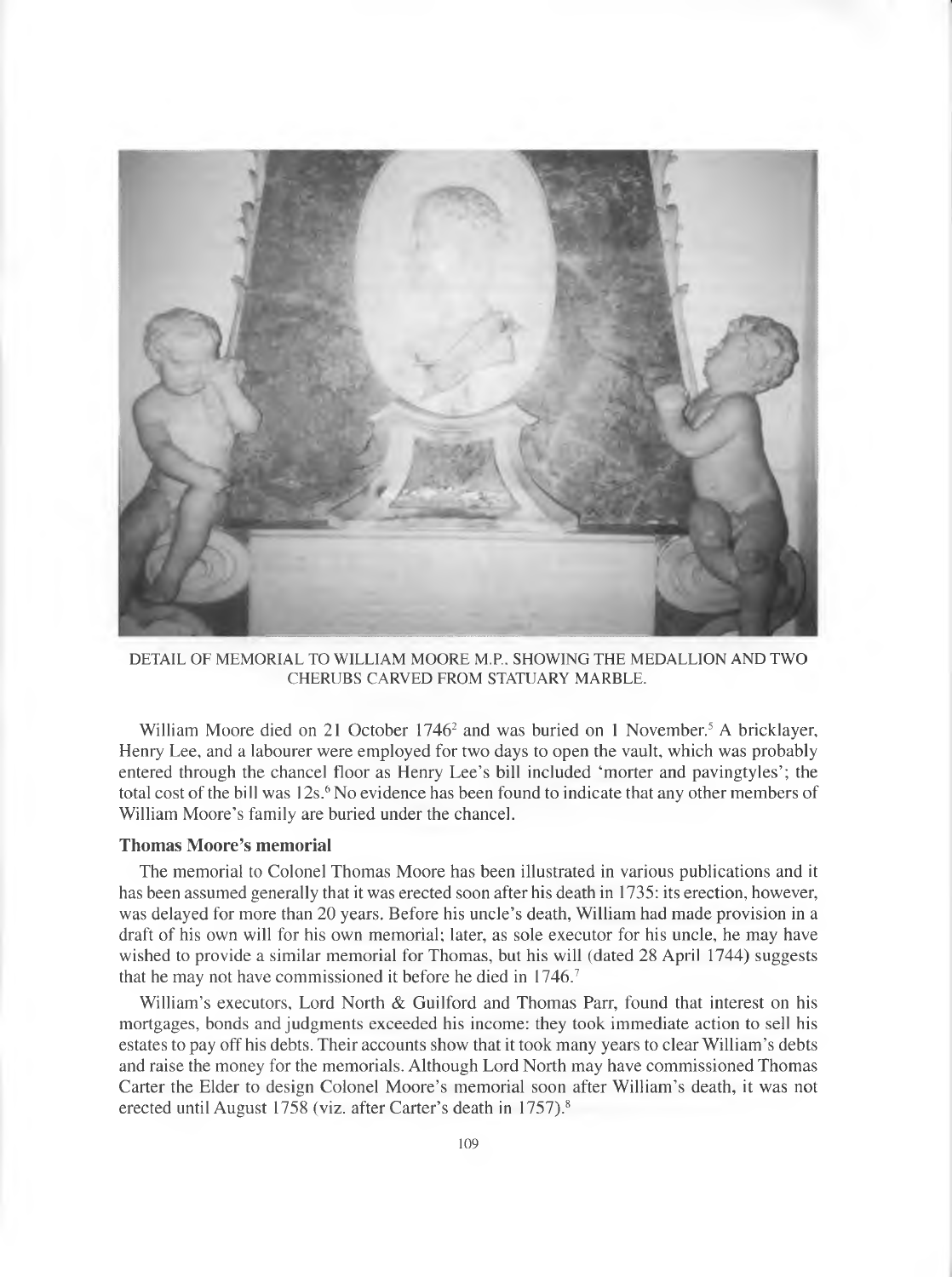

DETAIL OF MEMORIAL TO WILLIAM MOORE M.P., SHOWING THE MEDALLION AND TWO CHERUBS CARVED FROM STATUARY MARBLE.

William Moore died on 21 October  $1746<sup>2</sup>$  and was buried on 1 November.<sup>5</sup> A bricklayer, Henry Lee, and a labourer were employed for two days to open the vault, which was probably entered through the chancel floor as Henry Lee's bill included 'morter and pavingtyles'; the total cost of the bill was 12s.<sup>6</sup> No evidence has been found to indicate that any other members of William Moore's family are buried under the chancel.

# **Thomas Moore's memorial**

The memorial to Colonel Thomas Moore has been illustrated in various publications and it has been assumed generally that it was erected soon after his death in 1735: its erection, however, was delayed for more than 20 years. Before his uncle's death, William had made provision in a draft of his own will for his own memorial; later, as sole executor for his uncle, he may have wished to provide a similar memorial for Thomas, but his will (dated 28 April 1744) suggests that he may not have commissioned it before he died in 1746.7

William's executors. Lord North & Guilford and Thomas Parr, found that interest on his mortgages, bonds and judgments exceeded his income: they took immediate action to sell his estates to pay off his debts. Their accounts show that it took many years to clear William's debts and raise the money for the memorials. Although Lord North may have commissioned Thomas Carter the Elder to design Colonel Moore's memorial soon after William's death, it was not erected until August 1758 (viz. after Carter's death in 1757).<sup>8</sup>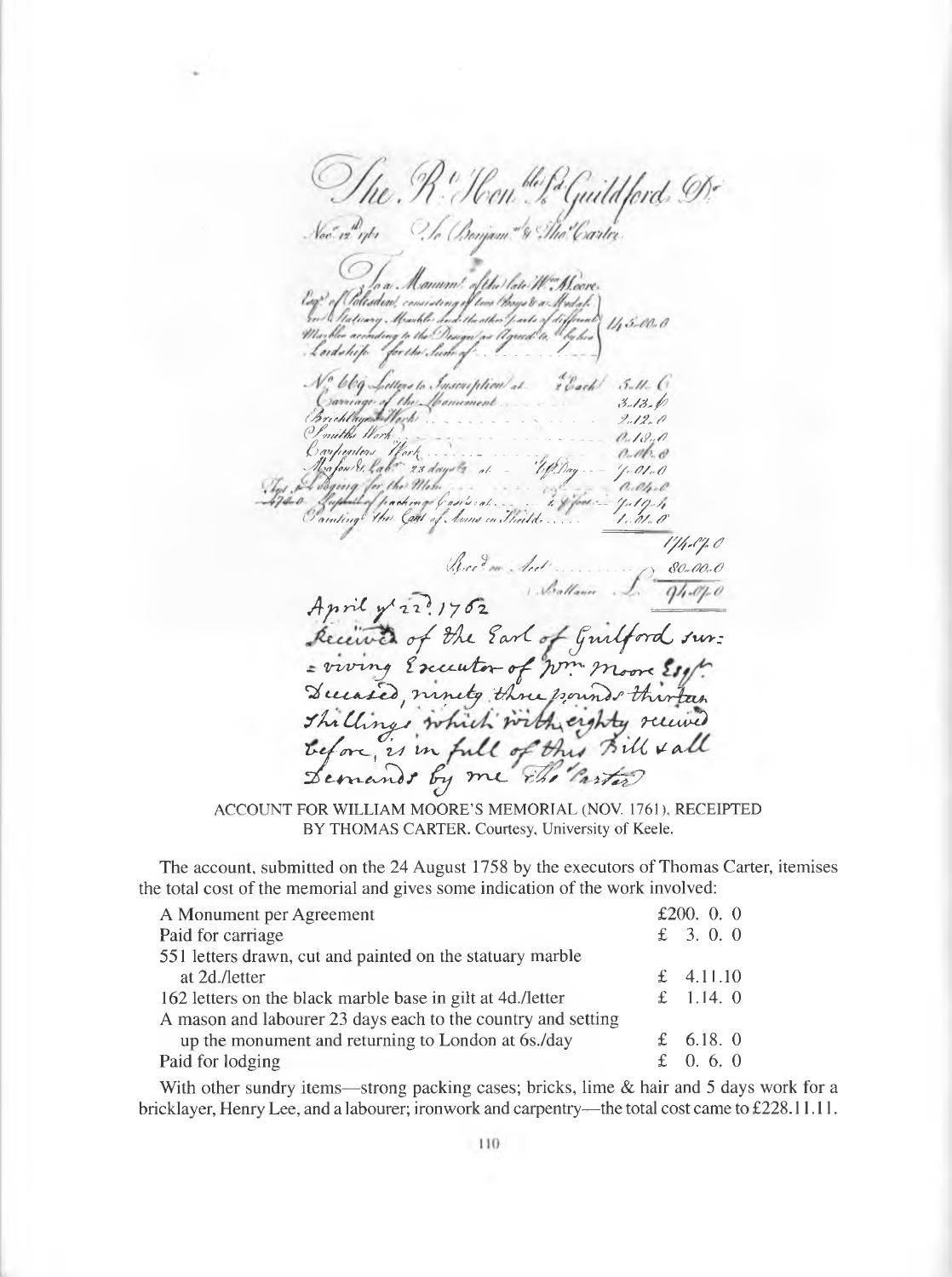The R. Hen ble for Guild ford, De<br>Noo n<sup>a</sup>nts - To Bonjom."& The Carter  $11, 5.00.0$ Lordship for the Such / x / x / ' *( s 4 r / d / a y r* ^ ~ - s / " / / , ^ i*the Work*<br>legaters *Hork (pyi////^/ /fcr/ ;*. , . . .................... */\$,./? 's/L ^ <sup>h</sup>A/, ' y3 "/.* \_ *'/^y)y r*--- *y ' /?/,.{? t\*<d,\*? ^ass!s t <r/* .. . \_ .-. / •---^, */y" /j*  $\cup$   $\alpha$ *multing*<sup>c</sup>  $\forall$ *fte*  $\Diamond$   $\Diamond$ *ft*  $\Diamond$ *i*,  $\Diamond$ *i*,  $\Diamond$ *i*,  $\Diamond$ *i*,  $\Diamond$ *i*,  $\Diamond$ *i*,  $\Diamond$ *i*,  $\Diamond$ *i*,  $\Diamond$ *i*,  $\Diamond$ *i*,  $\Diamond$ *i*,  $\Diamond$ *i*,  $\Diamond$ *i*,  $\Diamond$ *i*,  $\Diamond$ *i*,  $\Diamond$ *i*,  $\Diamond$ *i*,  $\Diamond$ *i*,  $\Diamond$ *i*,  $\Diamond$ */y jy y # (4 ,"* ? / , / ............ ■ VO *<?0,M-S)* April y 22:1702 of the Earl of Guilford sur: = viving Executor of wm moor \*2/ *tL~CA-^e^ t y™ s>^6y irfin< ^foririA ^ )s "ihjvr-lzLJb.* The Clings which with eighty received before, is in full of this Bul X a Demands by me  $rh$  *rarter* 

ACCOUNT FOR WILLIAM MOORE'S MEMORIAL (NOV. 1761), RECEIPTED BY THOMAS CARTER. Courtesy, University of Keele.

The account, submitted on the 24 August 1758 by the executors of Thomas Carter, itemises the total cost of the memorial and gives some indication of the work involved:

| A Monument per Agreement                                     | £200. $0.0$ |
|--------------------------------------------------------------|-------------|
| Paid for carriage                                            | £ $3.0.0$   |
| 551 letters drawn, cut and painted on the statuary marble    |             |
| at 2d./letter                                                | £ $4.11.10$ |
| 162 letters on the black marble base in gilt at 4d./letter   | £ 1.14. $0$ |
| A mason and labourer 23 days each to the country and setting |             |
| up the monument and returning to London at 6s./day           | £ 6.18. 0   |
| Paid for lodging                                             | £ 0.6.0     |

With other sundry items—strong packing cases; bricks, lime  $\&$  hair and 5 days work for a bricklayer, Henry Lee, and a labourer; ironwork and carpentry—the total cost came to £228.11.11.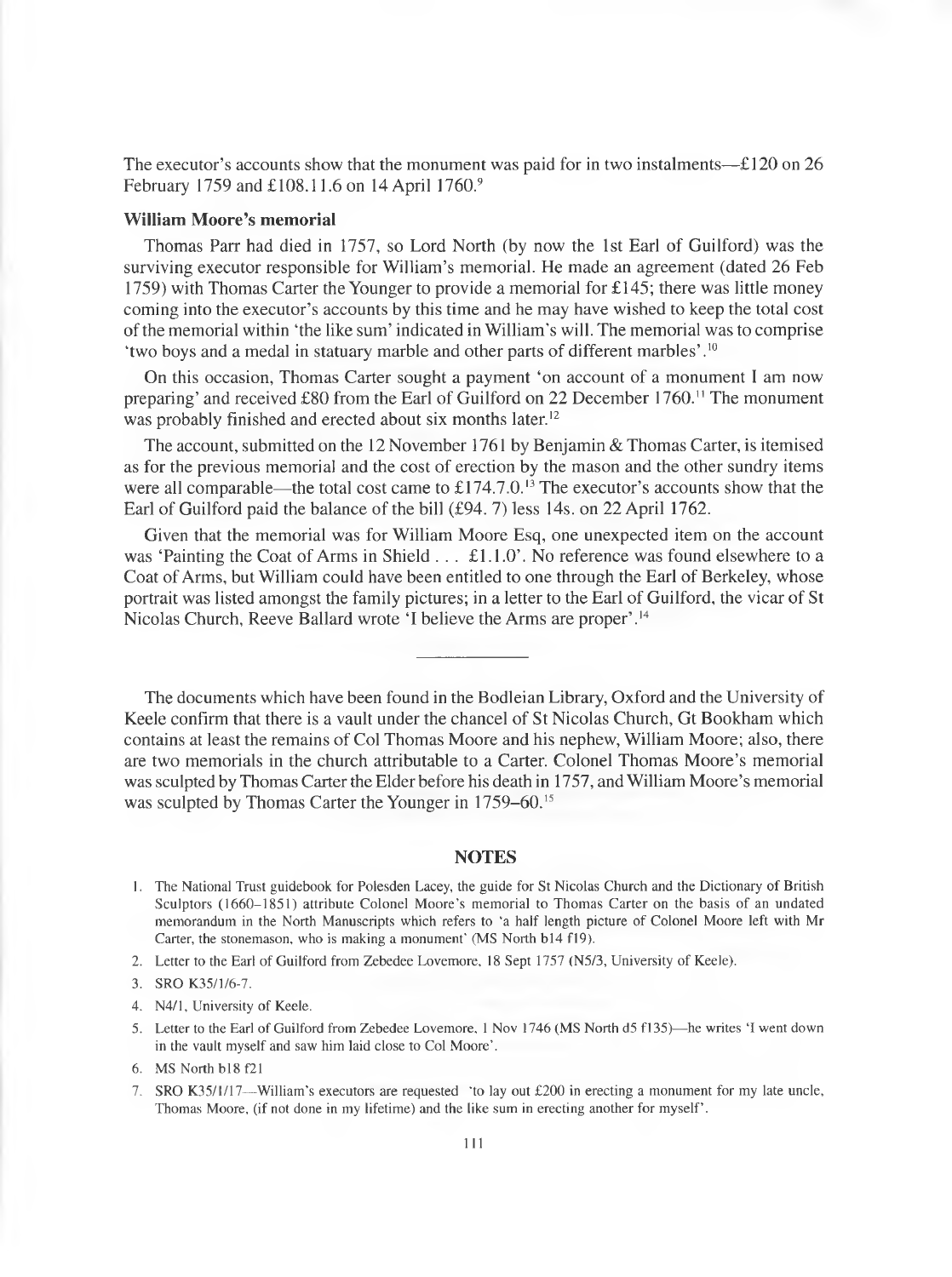The executor's accounts show that the monument was paid for in two instalments— $\text{\textsterling}120$  on 26 February 1759 and £108.11.6 on 14 April 1760.9

# **William Moore's memorial**

Thomas Parr had died in 1757, so Lord North (by now the 1st Earl of Guilford) was the surviving executor responsible for William's memorial. He made an agreement (dated 26 Feb 1759) with Thomas Carter the Younger to provide a memorial for £145; there was little money coming into the executor's accounts by this time and he may have wished to keep the total cost of the memorial within 'the like sum' indicated in William's will. The memorial was to comprise 'two boys and a medal in statuary marble and other parts of different marbles'.10

On this occasion, Thomas Carter sought a payment 'on account of a monument I am now preparing' and received £80 from the Earl of Guilford on 22 December 1760." The monument was probably finished and erected about six months later.<sup>12</sup>

The account, submitted on the 12 November 1761 by Benjamin & Thomas Carter, is itemised as for the previous memorial and the cost of erection by the mason and the other sundry items were all comparable—the total cost came to  $£174.7.0$ .<sup>13</sup> The executor's accounts show that the Earl of Guilford paid the balance of the bill (£94. 7) less 14s. on 22 April 1762.

Given that the memorial was for William Moore Esq, one unexpected item on the account was 'Painting the Coat of Arms in Shield . . . £1.1.0'. No reference was found elsewhere to a Coat of Arms, but William could have been entitled to one through the Earl of Berkeley, whose portrait was listed amongst the family pictures; in a letter to the Earl of Guilford, the vicar of St Nicolas Church, Reeve Ballard wrote 'I believe the Arms are proper'.14

The documents which have been found in the Bodleian Library, Oxford and the University of Keele confirm that there is a vault under the chancel of St Nicolas Church, Gt Bookham which contains at least the remains of Col Thomas Moore and his nephew, William Moore; also, there are two memorials in the church attributable to a Carter. Colonel Thomas Moore's memorial was sculpted by Thomas Carter the Elder before his death in 1757, and William Moore's memorial was sculpted by Thomas Carter the Younger in 1759–60.<sup>15</sup>

#### **NOTES**

- 1. The National Trust guidebook for Polesden Lacey, the guide for St Nicolas Church and the Dictionary of British Sculptors (1660-1851) attribute Colonel Moore's memorial to Thomas Carter on the basis of an undated memorandum in the North Manuscripts which refers to 'a half length picture of Colonel Moore left with Mr Carter, the stonemason, who is making a monument' (MS North b14 f19).
- 2. Letter to the Earl of Guilford from Zebedee Lovemore, 18 Sept 1757 (N5/3, University of Keele).
- 3. SRO K35/1/6-7.
- 4. N4/1, University of Keele.
- 5. Letter to the Earl of Guilford from Zebedee Lovemore. 1 Nov 1746 (MS North d5 f 135)—he writes 'I went down in the vault myself and saw him laid close to Col Moore'.
- 6. MS North bl8f21
- 7. SRO K35/1/17—William's executors are requested 'to lay out £200 in erecting a monument for my late uncle, Thomas Moore, (if not done in my lifetime) and the like sum in erecting another for myself'.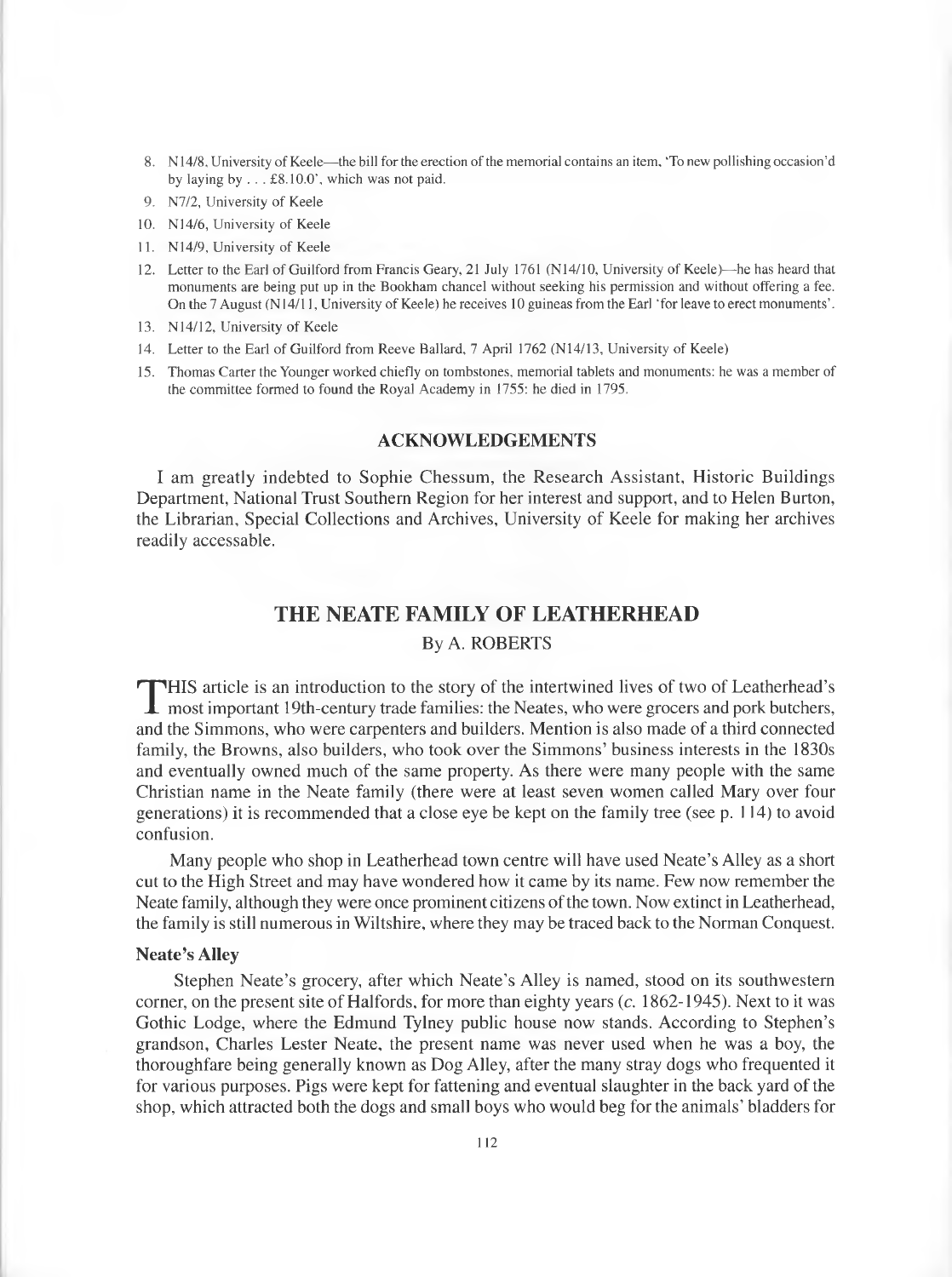- 8. N 14/8, University of Keele—the bill for the erection of the memorial contains an item, "To new pollishing occasion'd by laying by . . . £8.10.0', which was not paid.
- 9. N7/2, University of Keele
- 10. N 14/6, University of Keele
- 11. N14/9, University of Keele
- 12. Letter to the Earl of Guilford from Francis Geary, 21 July 1761 (N14/10, University of Keele)—he has heard that monuments are being put up in the Bookham chancel without seeking his permission and without offering a fee. On the 7 August (N 14/11, University of Keele) he receives 10 guineas from the Earl 'for leave to erect monuments'.
- 13. N14/12, University of Keele
- 14. Letter to the Earl of Guilford from Reeve Ballard, 7 April 1762 (N14/13, University of Keele)
- 15. Thomas Carter the Younger worked chiefly on tombstones, memorial tablets and monuments: he was a member of the committee formed to found the Royal Academy in 1755: he died in 1795.

# **ACKNOWLEDGEMENTS**

<span id="page-13-0"></span>I am greatly indebted to Sophie Chessum, the Research Assistant, Historic Buildings Department, National Trust Southern Region for her interest and support, and to Helen Burton, the Librarian, Special Collections and Archives, University of Keele for making her archives readily accessable.

# **THE NEATE FAMILY OF LEATHERHEAD**

# By A. ROBERTS

THIS article is an introduction to the story of the intertwined lives of two of Leatherhead's<br>most important 19th-century trade families: the Neates, who were grocers and pork butchers,<br>and the Simmons, who were carpenters HIS article is an introduction to the story of the intertwined lives of two of Leatherhead's and the Simmons, who were carpenters and builders. Mention is also made of a third connected family, the Browns, also builders, who took over the Simmons' business interests in the 1830s and eventually owned much of the same property. As there were many people with the same Christian name in the Neate family (there were at least seven women called Mary over four generations) it is recommended that a close eye be kept on the family tree (see p. 114) to avoid confusion.

Many people who shop in Leatherhead town centre will have used Neate's Alley as a short cut to the High Street and may have wondered how it came by its name. Few now remember the Neate family, although they were once prominent citizens of the town. Now extinct in Leatherhead, the family is still numerous in Wiltshire, where they may be traced back to the Norman Conquest.

# **Neate's Alley**

Stephen Neate's grocery, after which Neate's Alley is named, stood on its southwestern corner, on the present site of Halfords, for more than eighty years (c. 1862-1945). Next to it was Gothic Lodge, where the Edmund Tylney public house now stands. According to Stephen's grandson, Charles Lester Neate, the present name was never used when he was a boy, the thoroughfare being generally known as Dog Alley, after the many stray dogs who frequented it for various purposes. Pigs were kept for fattening and eventual slaughter in the back yard of the shop, which attracted both the dogs and small boys who would beg for the animals' bladders for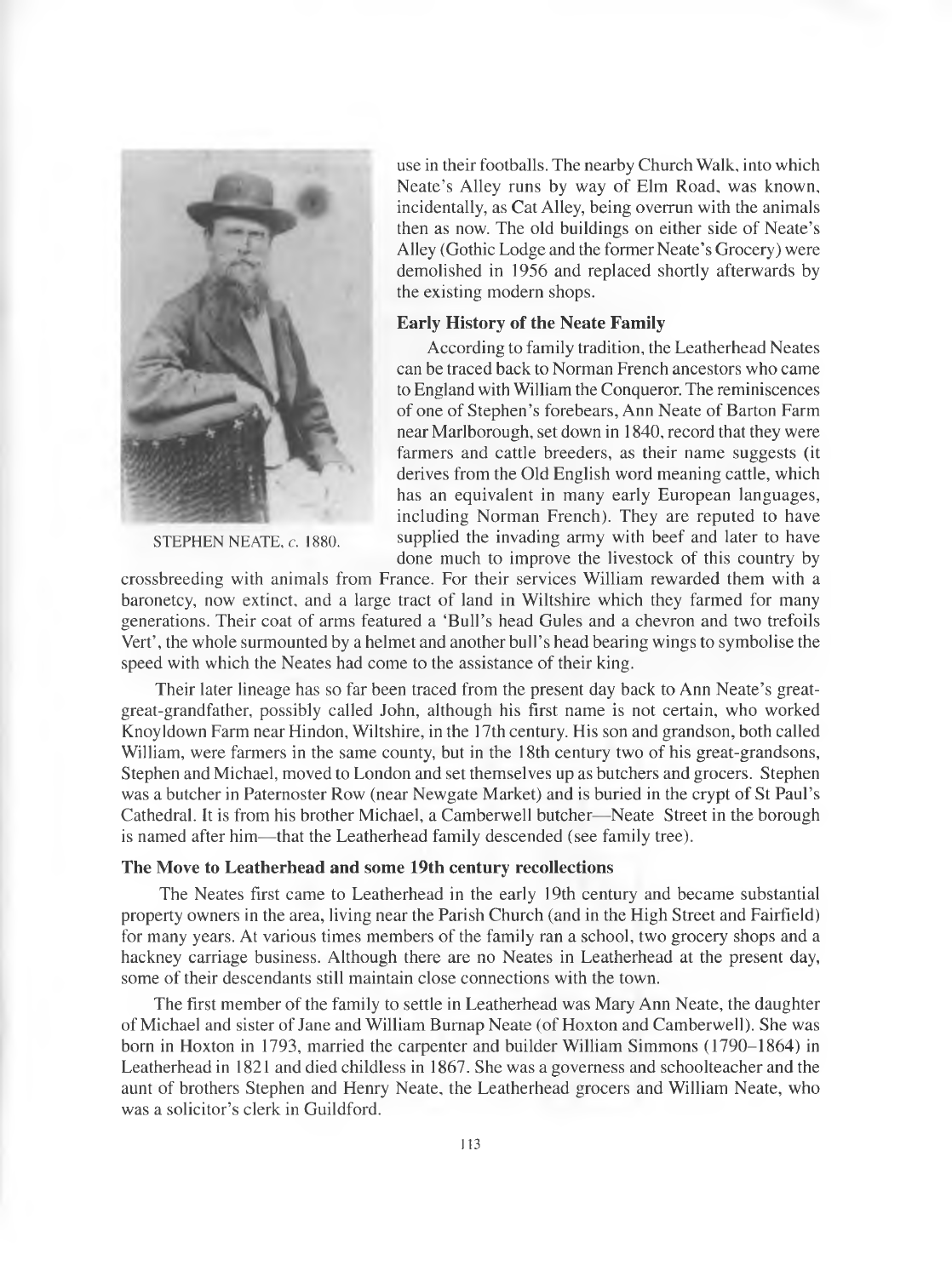

STEPHEN NEATE, *c.* 1880.

use in their footballs. The nearby Church Walk, into which Neate's Alley runs by way of Elm Road, was known, incidentally, as Cat Alley, being overrun with the animals then as now. The old buildings on either side of Neate's Alley (Gothic Lodge and the former Neate's Grocery) were demolished in 1956 and replaced shortly afterwards by the existing modern shops.

# **Early History of the Neate Family**

According to family tradition, the Leatherhead Neates can be traced back to Norman French ancestors who came to England with William the Conqueror. The reminiscences of one of Stephen's forebears, Ann Neate of Barton Farm near Marlborough, set down in 1840, record that they were farmers and cattle breeders, as their name suggests (it derives from the Old English word meaning cattle, which has an equivalent in many early European languages, including Norman French). They are reputed to have supplied the invading army with beef and later to have done much to improve the livestock of this country by

crossbreeding with animals from France. For their services William rewarded them with a baronetcy, now extinct, and a large tract of land in Wiltshire which they farmed for many generations. Their coat of arms featured a 'Bull's head Gules and a chevron and two trefoils Vert', the whole surmounted by a helmet and another bull's head bearing wings to symbolise the speed with which the Neates had come to the assistance of their king.

Their later lineage has so far been traced from the present day back to Ann Neate's greatgreat-grandfather, possibly called John, although his first name is not certain, who worked Knoyldown Farm near Hindon, Wiltshire, in the 17th century. His son and grandson, both called William, were farmers in the same county, but in the 18th century two of his great-grandsons, Stephen and Michael, moved to London and set themselves up as butchers and grocers. Stephen was a butcher in Paternoster Row (near Newgate Market) and is buried in the crypt of St Paul's Cathedral. It is from his brother Michael, a Camberwell butcher—Neate Street in the borough is named after him—that the Leatherhead family descended (see family tree).

# **The Move to Leatherhead and some 19th century recollections**

The Neates first came to Leatherhead in the early 19th century and became substantial property owners in the area, living near the Parish Church (and in the High Street and Fairfield) for many years. At various times members of the family ran a school, two grocery shops and a hackney carriage business. Although there are no Neates in Leatherhead at the present day, some of their descendants still maintain close connections with the town.

The first member of the family to settle in Leatherhead was Mary Ann Neate, the daughter of Michael and sister of Jane and William Burnap Neate (of Hoxton and Camberwell). She was born in Hoxton in 1793, married the carpenter and builder William Simmons (1790-1864) in Leatherhead in 1821 and died childless in 1867. She was a governess and schoolteacher and the aunt of brothers Stephen and Henry Neate, the Leatherhead grocers and William Neate, who was a solicitor's clerk in Guildford.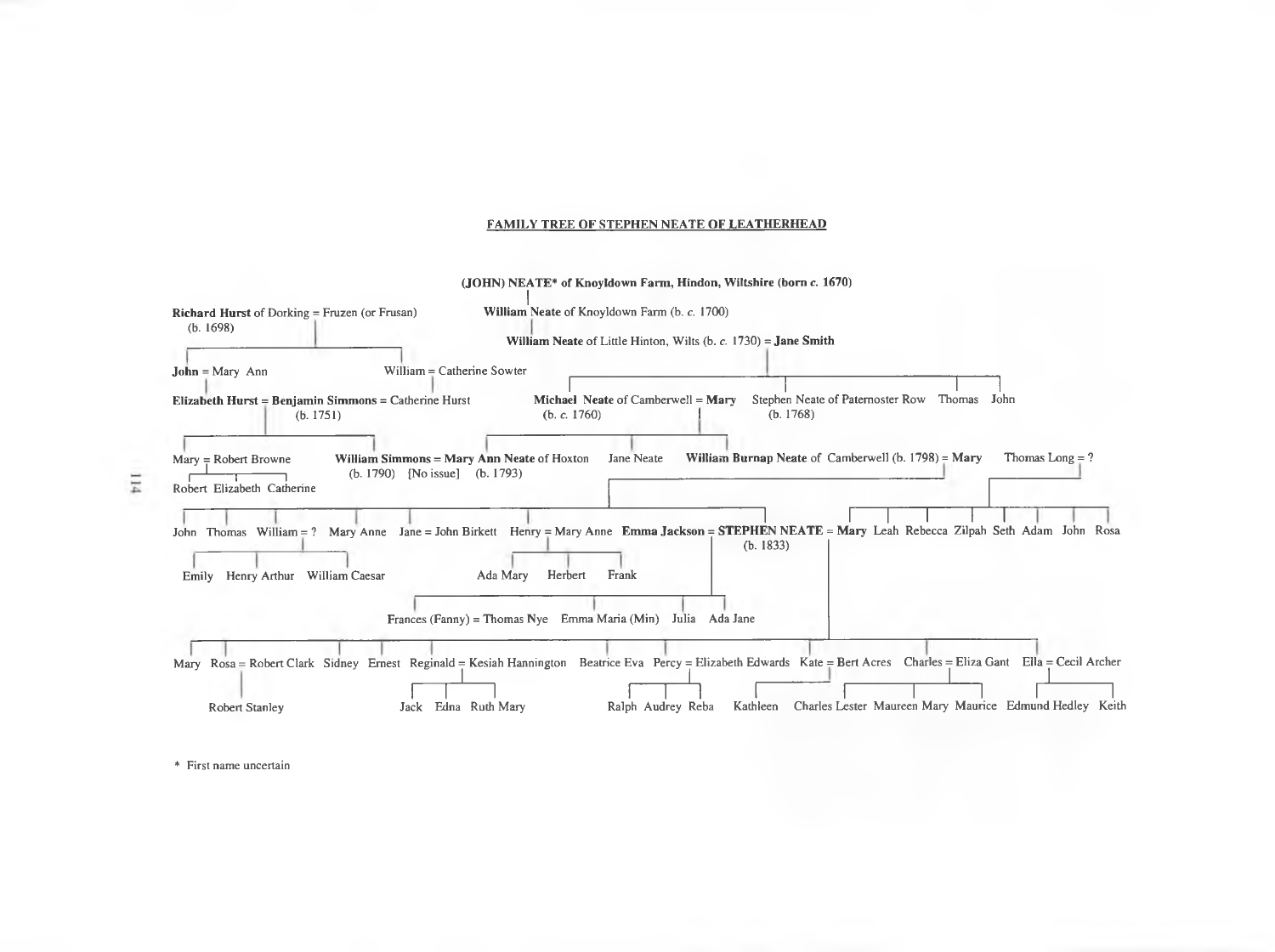#### FAMILY TREE OF STEPHEN NEATE OF LEATHERHEAD



\* First name uncertain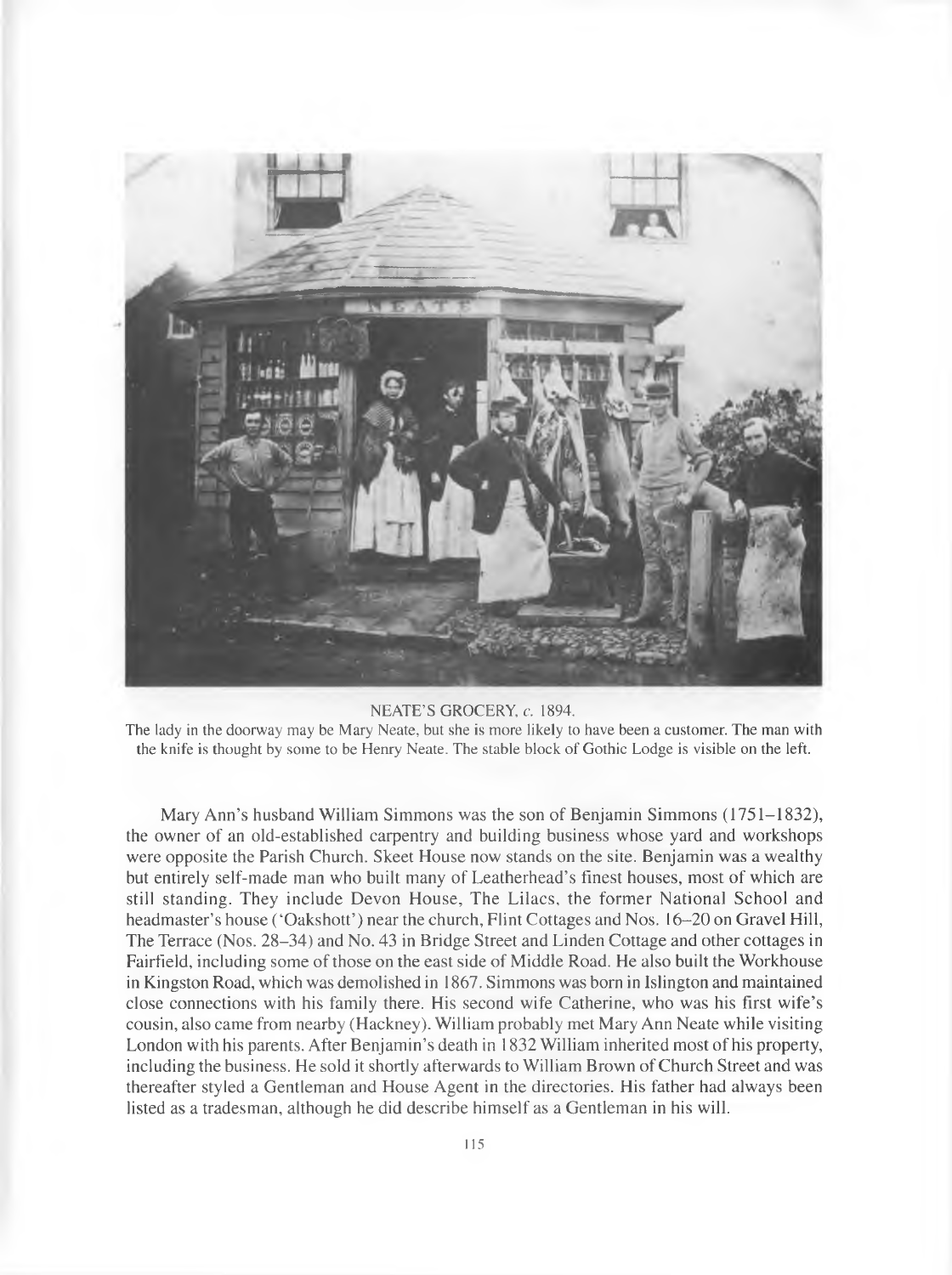

#### NEATE'S GROCERY, c. 1894.

The lady in the doorway may be Mary Neate, but she is more likely to have been a customer. The man with the knife is thought by some to be Henry Neate. The stable block of Gothic Lodge is visible on the left.

Mary Ann's husband William Simmons was the son of Benjamin Simmons (1751-1832), the owner of an old-established carpentry and building business whose yard and workshops were opposite the Parish Church. Skeet House now stands on the site. Benjamin was a wealthy but entirely self-made man who built many of Leatherhead's finest houses, most of which are still standing. They include Devon House, The Lilacs, the former National School and headmaster's house ('Oakshott') near the church, Flint Cottages and Nos. 16–20 on Gravel Hill, The Terrace (Nos. 28-34) and No. 43 in Bridge Street and Linden Cottage and other cottages in Fairfield, including some of those on the east side of Middle Road. He also built the Workhouse in Kingston Road, which was demolished in 1867. Simmons was born in Islington and maintained close connections with his family there. His second wife Catherine, who was his first wife's cousin, also came from nearby (Hackney). William probably met Mary Ann Neate while visiting London with his parents. After Benjamin's death in 1832 William inherited most of his property, including the business. He sold it shortly afterwards to William Brown of Church Street and was thereafter styled a Gentleman and House Agent in the directories. His father had always been listed as a tradesman, although he did describe himself as a Gentleman in his will.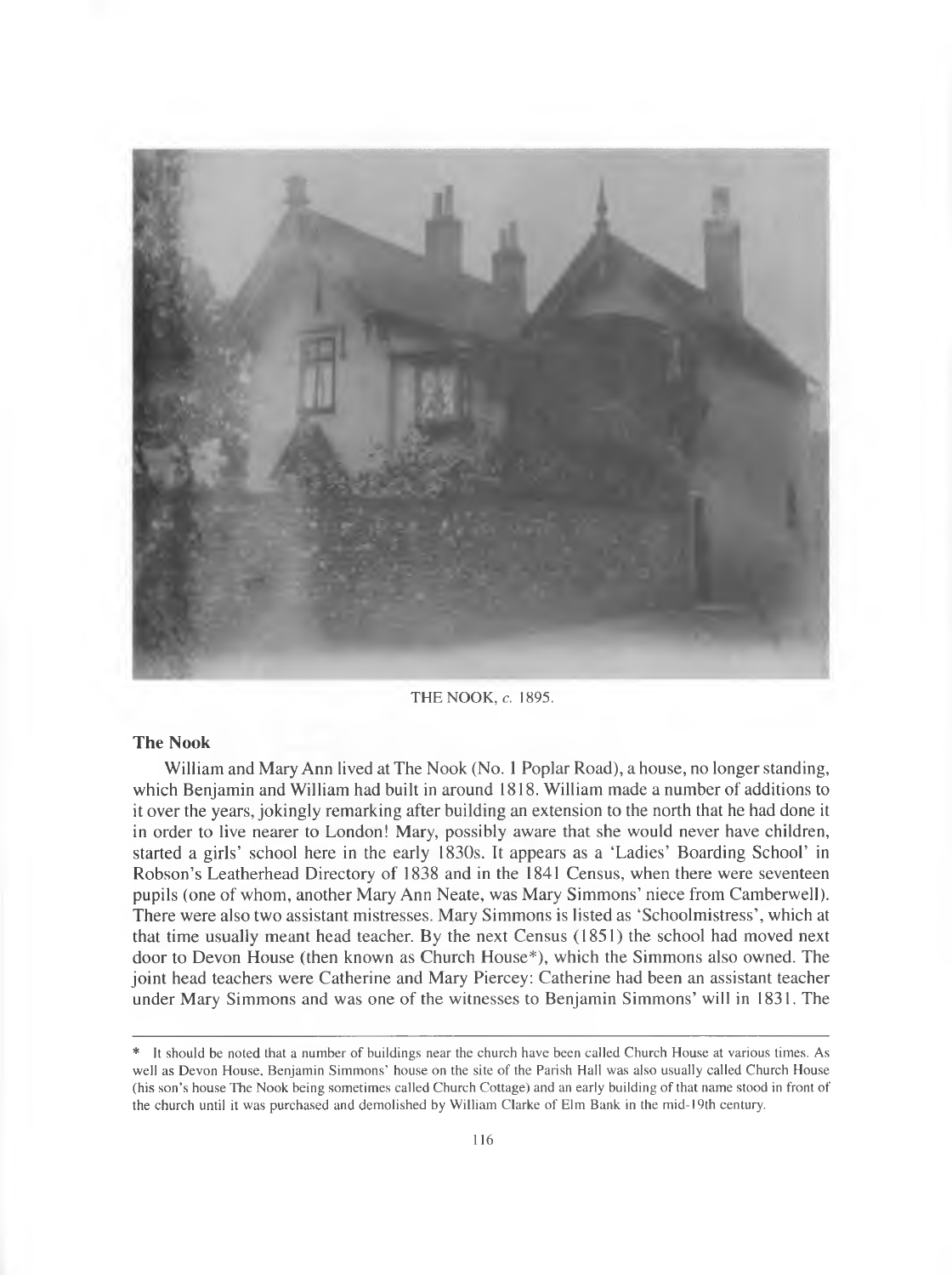

THE NOOK, c. 1895.

#### **The Nook**

William and Mary Ann lived at The Nook (No. 1 Poplar Road), a house, no longer standing, which Benjamin and William had built in around 1818. William made a number of additions to it over the years, jokingly remarking after building an extension to the north that he had done it in order to live nearer to London! Mary, possibly aware that she would never have children, started a girls' school here in the early 1830s. It appears as a 'Ladies' Boarding School' in Robson's Leatherhead Directory of 1838 and in the 1841 Census, when there were seventeen pupils (one of whom, another Mary Ann Neate, was Mary Simmons' niece from Camberwell). There were also two assistant mistresses. Mary Simmons is listed as 'Schoolmistress', which at that time usually meant head teacher. By the next Census (1851) the school had moved next door to Devon House (then known as Church House\*), which the Simmons also owned. The joint head teachers were Catherine and Mary Piercey: Catherine had been an assistant teacher under Mary Simmons and was one of the witnesses to Benjamin Simmons' will in 1831. The

<sup>\*</sup> It should be noted that a number of buildings near the church have been called Church House at various times. As well as Devon House, Benjamin Simmons' house on the site of the Parish Hall was also usually called Church House (his son's house The Nook being sometimes called Church Cottage) and an early building of that name stood in front of the church until it was purchased and demolished by William Clarke of Elm Bank in the mid-19th century.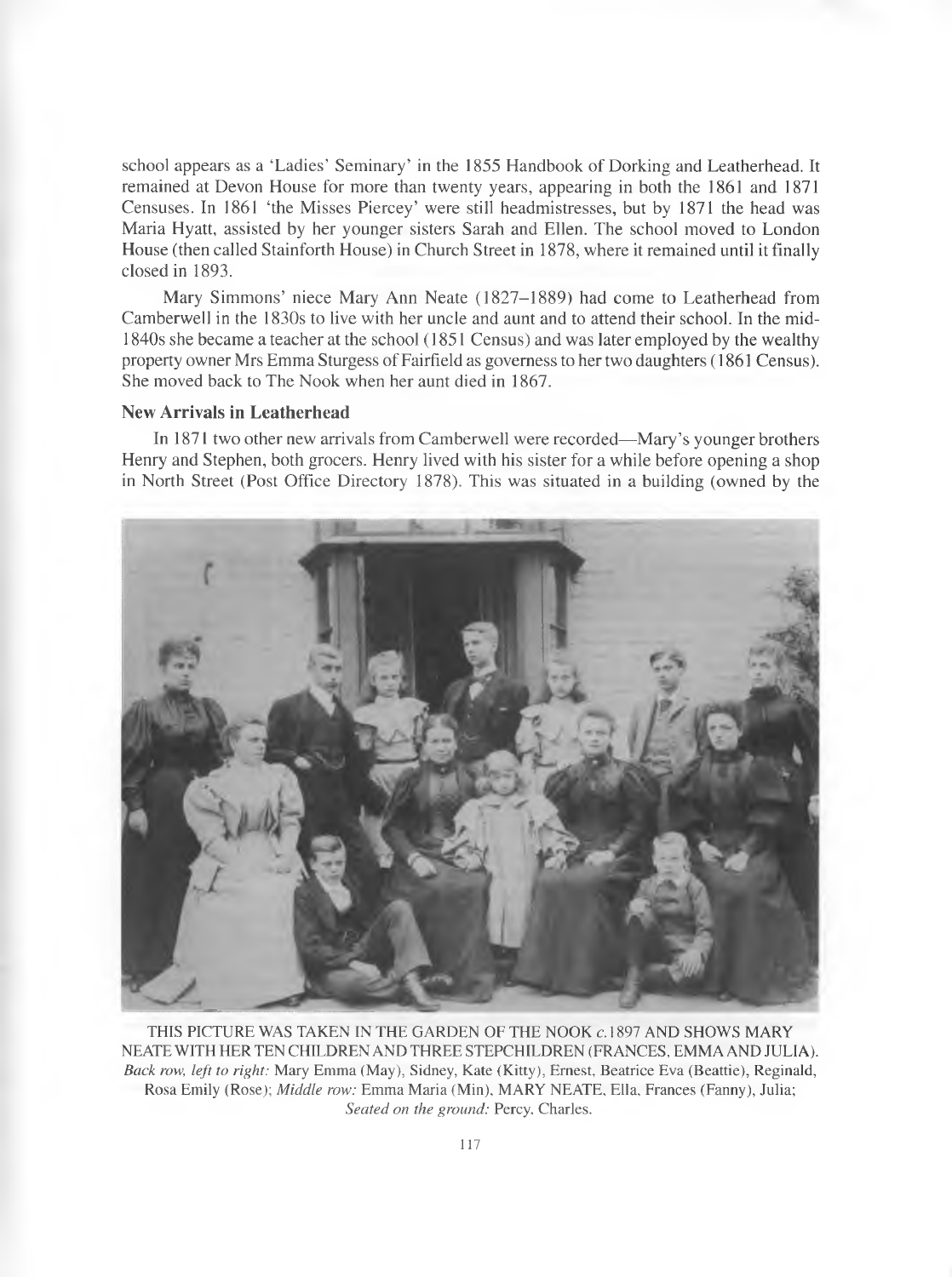school appears as a 'Ladies' Seminary' in the 1855 Handbook of Dorking and Leatherhead. It remained at Devon House for more than twenty years, appearing in both the 1861 and 1871 Censuses. In 1861 'the Misses Piercey' were still headmistresses, but by 1871 the head was Maria Hyatt, assisted by her younger sisters Sarah and Ellen. The school moved to London House (then called Stainforth House) in Church Street in 1878, where it remained until it finally closed in 1893.

Mary Simmons' niece Mary Ann Neate (1827-1889) had come to Leatherhead from Camberwell in the 1830s to live with her uncle and aunt and to attend their school. In the mid-1840s she became a teacher at the school (1851 Census) and was later employed by the wealthy property owner Mrs Emma Sturgess of Fairfield as governess to her two daughters (1861 Census). She moved back to The Nook when her aunt died in 1867.

# **New Arrivals in Leatherhead**

In 1871 two other new arrivals from Camberwell were recorded—Mary's younger brothers Henry and Stephen, both grocers. Henry lived with his sister for a while before opening a shop in North Street (Post Office Directory 1878). This was situated in a building (owned by the



THIS PICTURE WAS TAKEN IN THE GARDEN OF THE NOOK c.1897 AND SHOWS MARY NEATE WITH HER TEN CHILDREN AND THREE STEPCHILDREN (FRANCES, EMMA AND JULIA). *Back row, left to right: Mary Emma (May), Sidney, Kate (Kitty), Ernest, Beatrice Eva (Beattie), Reginald,* Rosa Emily (Rose); *Middle row:* Emma Maria (Min), MARY NEATE, Ella, Frances (Fanny), Julia; *Seated on the ground:* Percy, Charles.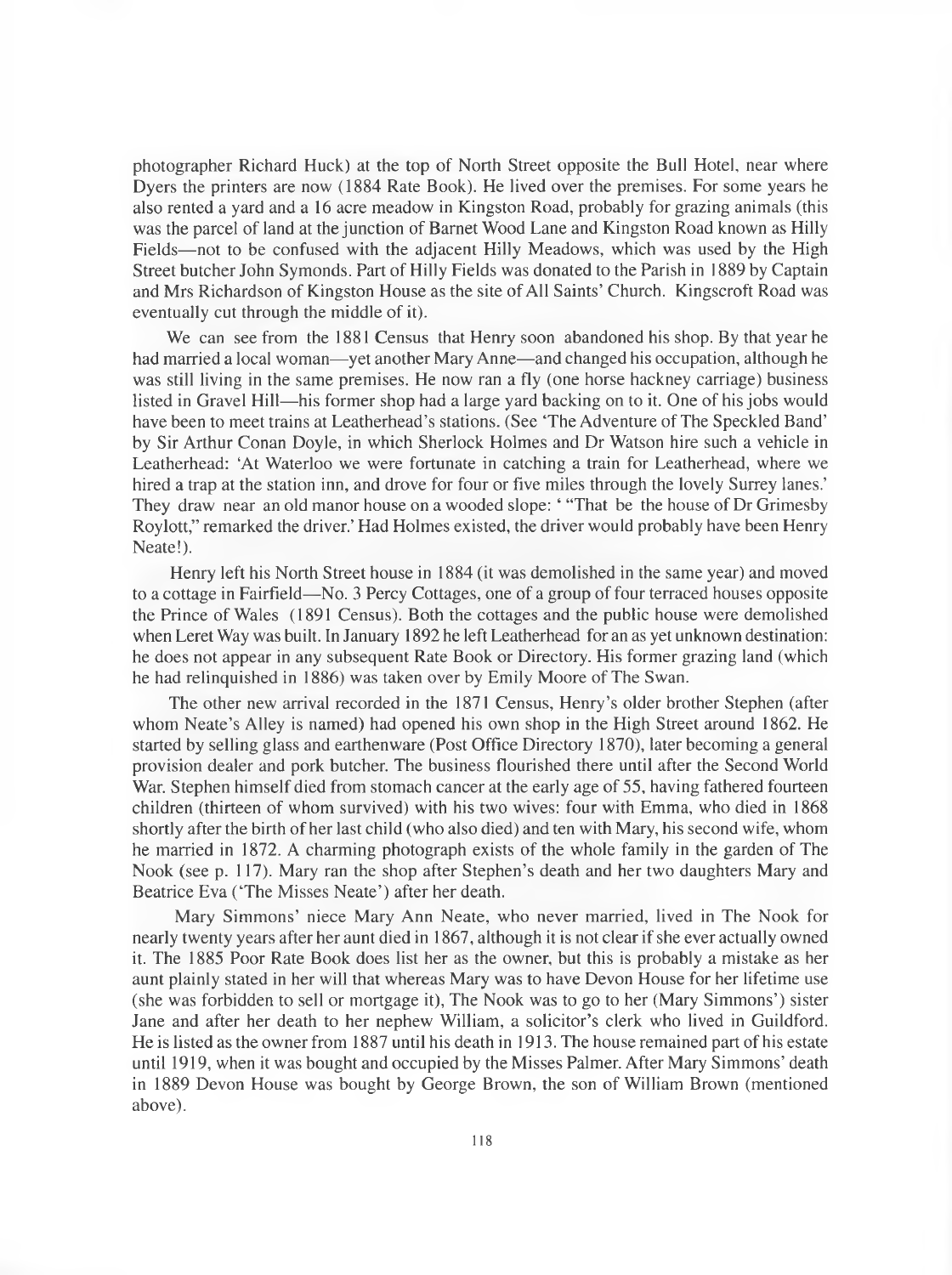photographer Richard Huck) at the top of North Street opposite the Bull Hotel, near where Dyers the printers are now (1884 Rate Book). He lived over the premises. For some years he also rented a yard and a 16 acre meadow in Kingston Road, probably for grazing animals (this was the parcel of land at the junction of Barnet Wood Lane and Kingston Road known as Hilly Fields—not to be confused with the adjacent Hilly Meadows, which was used by the High Street butcher John Symonds. Part of Hilly Fields was donated to the Parish in 1889 by Captain and Mrs Richardson of Kingston House as the site of All Saints' Church. Kingscroft Road was eventually cut through the middle of it).

We can see from the 1881 Census that Henry soon abandoned his shop. By that year he had married a local woman—yet another Mary Anne—and changed his occupation, although he was still living in the same premises. He now ran a fly (one horse hackney carriage) business listed in Gravel Hill— his former shop had a large yard backing on to it. One of his jobs would have been to meet trains at Leatherhead's stations. (See 'The Adventure of The Speckled Band' by Sir Arthur Conan Doyle, in which Sherlock Holmes and Dr Watson hire such a vehicle in Leatherhead: 'At Waterloo we were fortunate in catching a train for Leatherhead, where we hired a trap at the station inn, and drove for four or five miles through the lovely Surrey lanes.' They draw near an old manor house on a wooded slope: ' "That be the house of Dr Grimesby Roylott," remarked the driver.' Had Holmes existed, the driver would probably have been Henry Neate!).

Henry left his North Street house in 1884 (it was demolished in the same year) and moved to a cottage in Fairfield—No. 3 Percy Cottages, one of a group of four terraced houses opposite the Prince of Wales (1891 Census). Both the cottages and the public house were demolished when Leret Way was built. In January 1892 he left Leatherhead for an as yet unknown destination: he does not appear in any subsequent Rate Book or Directory. His former grazing land (which he had relinquished in 1886) was taken over by Emily Moore of The Swan.

The other new arrival recorded in the 1871 Census, Henry's older brother Stephen (after whom Neate's Alley is named) had opened his own shop in the High Street around 1862. He started by selling glass and earthenware (Post Office Directory 1870), later becoming a general provision dealer and pork butcher. The business flourished there until after the Second World War. Stephen himself died from stomach cancer at the early age of 55, having fathered fourteen children (thirteen of whom survived) with his two wives: four with Emma, who died in 1868 shortly after the birth of her last child (who also died) and ten with Mary, his second wife, whom he married in 1872. A charming photograph exists of the whole family in the garden of The Nook (see p. 117). Mary ran the shop after Stephen's death and her two daughters Mary and Beatrice Eva ('The Misses Neate') after her death.

Mary Simmons' niece Mary Ann Neate, who never married, lived in The Nook for nearly twenty years after her aunt died in 1867, although it is not clear if she ever actually owned it. The 1885 Poor Rate Book does list her as the owner, but this is probably a mistake as her aunt plainly stated in her will that whereas Mary was to have Devon House for her lifetime use (she was forbidden to sell or mortgage it), The Nook was to go to her (Mary Simmons') sister Jane and after her death to her nephew William, a solicitor's clerk who lived in Guildford. He is listed as the owner from 1887 until his death in 1913. The house remained part of his estate until 1919, when it was bought and occupied by the Misses Palmer. After Mary Simmons' death in 1889 Devon House was bought by George Brown, the son of William Brown (mentioned above).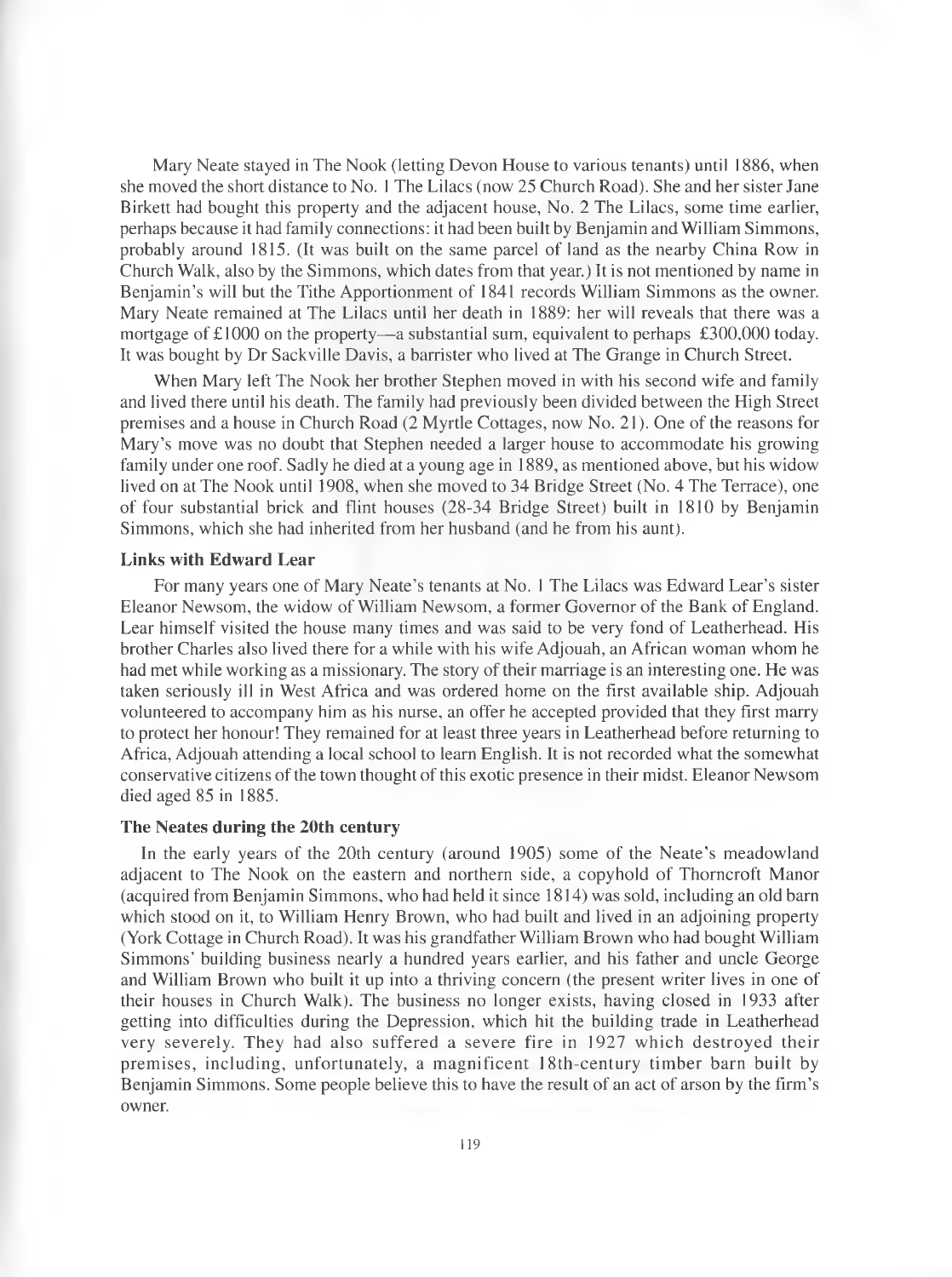Mary Neate stayed in The Nook (letting Devon House to various tenants) until 1886, when she moved the short distance to No. 1 The Lilacs (now 25 Church Road). She and her sister Jane Birkett had bought this property and the adjacent house, No. 2 The Lilacs, some time earlier, perhaps because it had family connections: it had been built by Benjamin and William Simmons, probably around 1815. (It was built on the same parcel of land as the nearby China Row in Church Walk, also by the Simmons, which dates from that year.) It is not mentioned by name in Benjamin's will but the Tithe Apportionment of 1841 records William Simmons as the owner. Mary Neate remained at The Lilacs until her death in 1889: her will reveals that there was a mortgage of £1000 on the property—a substantial sum, equivalent to perhaps £300,000 today. It was bought by Dr Sackville Davis, a barrister who lived at The Grange in Church Street.

When Mary left The Nook her brother Stephen moved in with his second wife and family and lived there until his death. The family had previously been divided between the High Street premises and a house in Church Road (2 Myrtle Cottages, now No. 21). One of the reasons for Mary's move was no doubt that Stephen needed a larger house to accommodate his growing family under one roof. Sadly he died at a young age in 1889, as mentioned above, but his widow lived on at The Nook until 1908, when she moved to 34 Bridge Street (No. 4 The Terrace), one of four substantial brick and flint houses (28-34 Bridge Street) built in 1810 by Benjamin Simmons, which she had inherited from her husband (and he from his aunt).

#### **Links with Edward Lear**

For many years one of Mary Neate's tenants at No. I The Lilacs was Edward Lear's sister Eleanor Newsom, the widow of William Newsom, a former Governor of the Bank of England. Lear himself visited the house many times and was said to be very fond of Leatherhead. His brother Charles also lived there for a while with his wife Adjouah, an African woman whom he had met while working as a missionary. The story of their marriage is an interesting one. He was taken seriously ill in West Africa and was ordered home on the first available ship. Adjouah volunteered to accompany him as his nurse, an offer he accepted provided that they first marry to protect her honour! They remained for at least three years in Leatherhead before returning to Africa, Adjouah attending a local school to leam English. It is not recorded what the somewhat conservative citizens of the town thought of this exotic presence in their midst. Eleanor Newsom died aged 85 in 1885.

## **The Neates during the 20th century**

In the early years of the 20th century (around 1905) some of the Neate's meadowland adjacent to The Nook on the eastern and northern side, a copyhold of Thorncroft Manor (acquired from Benjamin Simmons, who had held it since 1814) was sold, including an old barn which stood on it, to William Henry Brown, who had built and lived in an adjoining property (York Cottage in Church Road). It was his grandfather William Brown who had bought William Simmons' building business nearly a hundred years earlier, and his father and uncle George and William Brown who built it up into a thriving concern (the present writer lives in one of their houses in Church Walk). The business no longer exists, having closed in 1933 after getting into difficulties during the Depression, which hit the building trade in Leatherhead very severely. They had also suffered a severe fire in 1927 which destroyed their premises, including, unfortunately, a magnificent 18th-century timber barn built by Benjamin Simmons. Some people believe this to have the result of an act of arson by the firm's owner.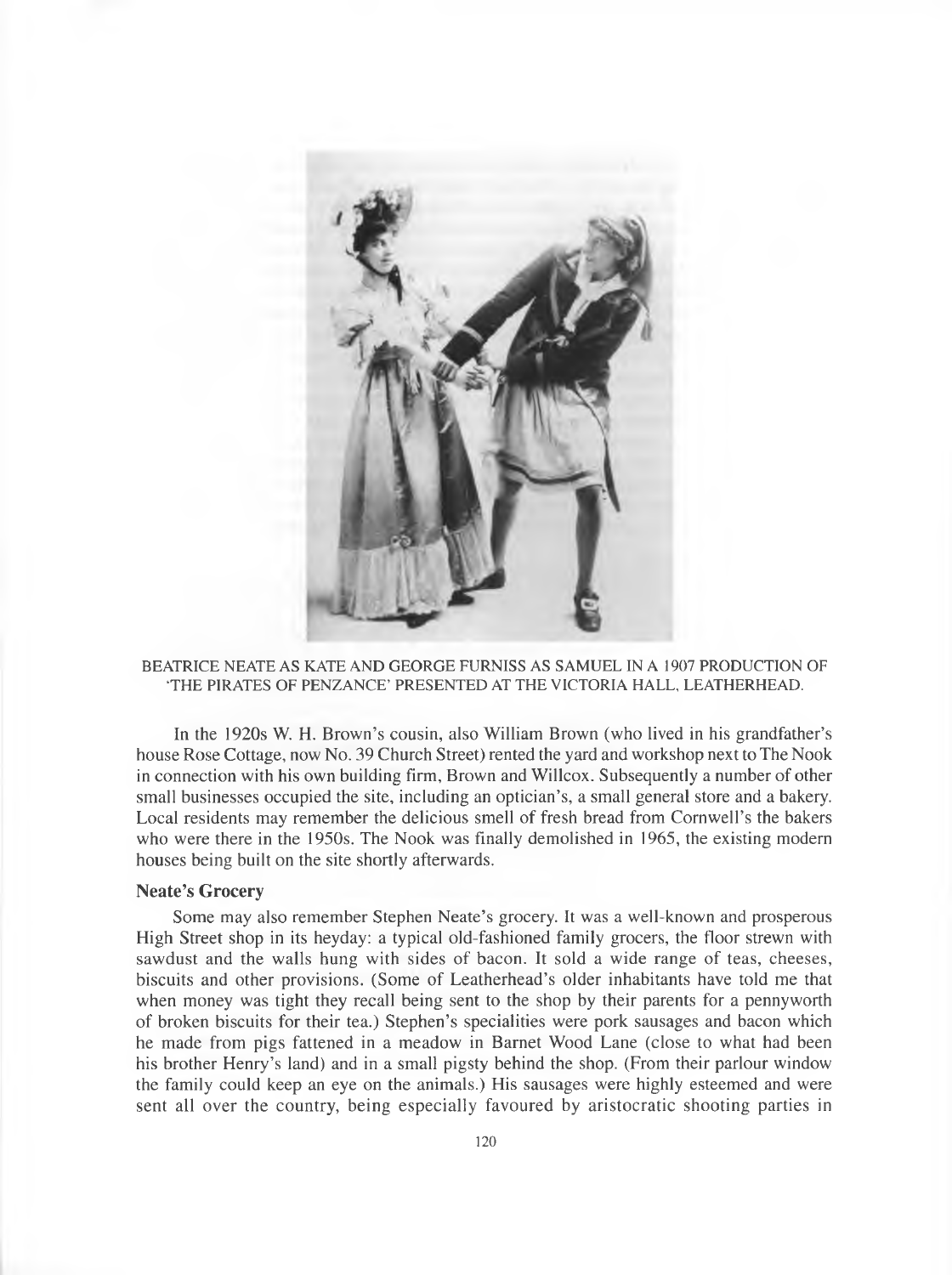

#### BEATRICE NEATE AS KATE AND GEORGE FURNISS AS SAMUEL IN A 1907 PRODUCTION OF 'THE PIRATES OF PENZANCE' PRESENTED AT THE VICTORIA HALL, LEATHERHEAD.

In the 1920s W. H. Brown's cousin, also William Brown (who lived in his grandfather's house Rose Cottage, now No. 39 Church Street) rented the yard and workshop next to The Nook in connection with his own building firm, Brown and Willcox. Subsequently a number of other small businesses occupied the site, including an optician's, a small general store and a bakery. Local residents may remember the delicious smell of fresh bread from Cornwell's the bakers who were there in the 1950s. The Nook was finally demolished in 1965, the existing modern houses being built on the site shortly afterwards.

#### **Neate's Grocery**

Some may also remember Stephen Neate's grocery. It was a well-known and prosperous High Street shop in its heyday: a typical old-fashioned family grocers, the floor strewn with sawdust and the walls hung with sides of bacon. It sold a wide range of teas, cheeses, biscuits and other provisions. (Some of Leatherhead's older inhabitants have told me that when money was tight they recall being sent to the shop by their parents for a pennyworth of broken biscuits for their tea.) Stephen's specialities were pork sausages and bacon which he made from pigs fattened in a meadow in Barnet Wood Lane (close to what had been his brother Henry's land) and in a small pigsty behind the shop. (From their parlour window the family could keep an eye on the animals.) His sausages were highly esteemed and were sent all over the country, being especially favoured by aristocratic shooting parties in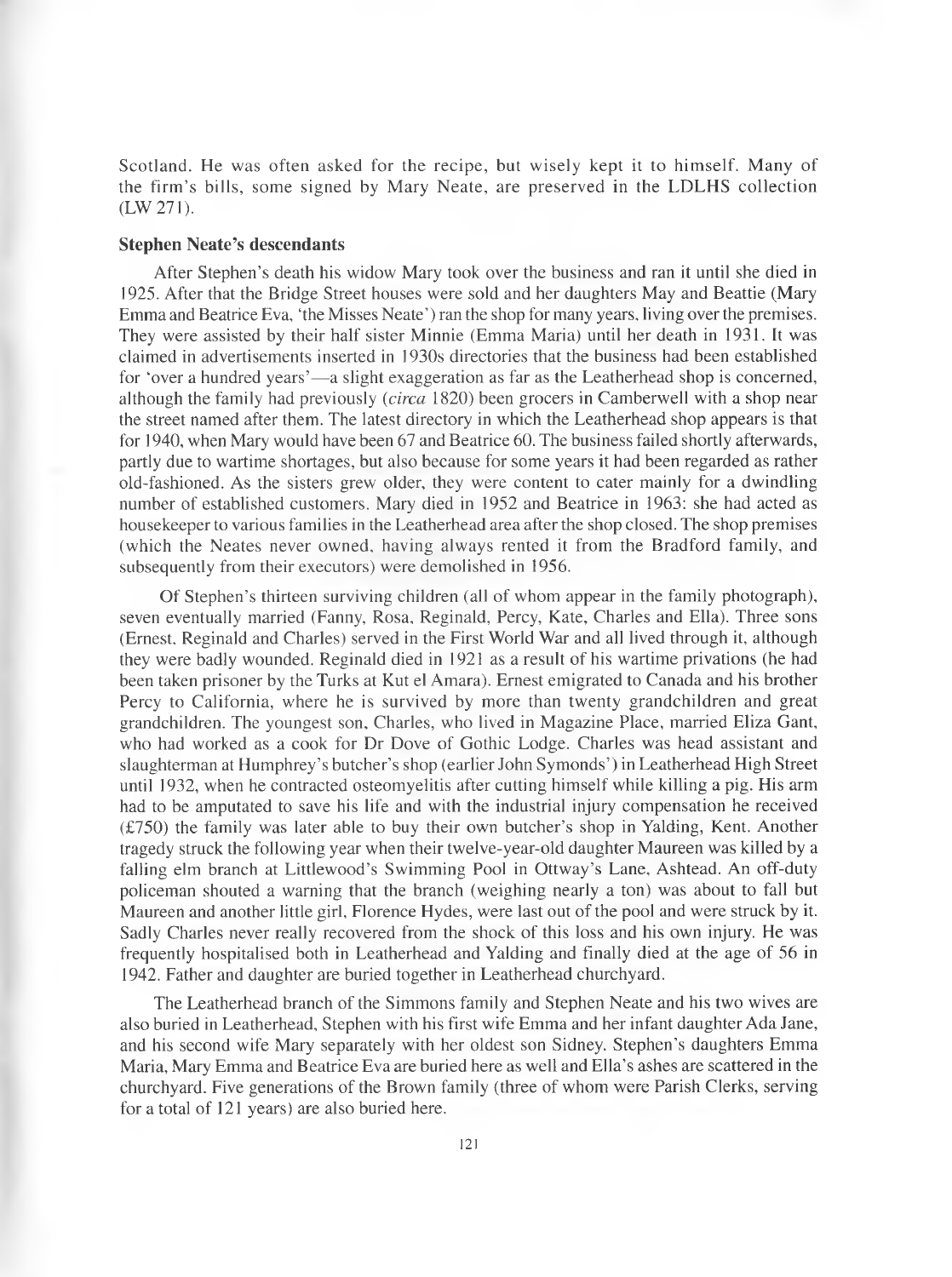Scotland. He was often asked for the recipe, but wisely kept it to himself. Many of the firm's bills, some signed by Mary Neate, are preserved in the LDLHS collection (LW 271).

#### **Stephen Neate's descendants**

After Stephen's death his widow Mary took over the business and ran it until she died in 1925. After that the Bridge Street houses were sold and her daughters May and Beattie (Mary Emma and Beatrice Eva, 'the Misses Neate') ran the shop for many years, living over the premises. They were assisted by their half sister Minnie (Emma Maria) until her death in 1931. It was claimed in advertisements inserted in 1930s directories that the business had been established for 'over a hundred years'—a slight exaggeration as far as the Leatherhead shop is concerned, although the family had previously *(circa* 1820) been grocers in Camberwell with a shop near the street named after them. The latest directory in which the Leatherhead shop appears is that for 1940, when Mary would have been 67 and Beatrice 60. The business failed shortly afterwards, partly due to wartime shortages, but also because for some years it had been regarded as rather old-fashioned. As the sisters grew older, they were content to cater mainly for a dwindling number of established customers. Mary died in 1952 and Beatrice in 1963: she had acted as housekeeper to various families in the Leatherhead area after the shop closed. The shop premises (which the Neates never owned, having always rented it from the Bradford family, and subsequently from their executors) were demolished in 1956.

Of Stephen's thirteen surviving children (all of whom appear in the family photograph), seven eventually married (Fanny, Rosa, Reginald, Percy, Kate, Charles and Ella). Three sons (Ernest. Reginald and Charles) served in the First World War and all lived through it, although they were badly wounded. Reginald died in 1921 as a result of his wartime privations (he had been taken prisoner by the Turks at Kut el Amara). Ernest emigrated to Canada and his brother Percy to California, where he is survived by more than twenty grandchildren and great grandchildren. The youngest son, Charles, who lived in Magazine Place, married Eliza Gant, who had worked as a cook for Dr Dove of Gothic Lodge. Charles was head assistant and slaughterman at Humphrey's butcher's shop (earlier John Symonds') in Leatherhead High Street until 1932, when he contracted osteomyelitis after cutting himself while killing a pig. His arm had to be amputated to save his life and with the industrial injury compensation he received (£750) the family was later able to buy their own butcher's shop in Yalding, Kent. Another tragedy struck the following year when their twelve-year-old daughter Maureen was killed by a falling elm branch at Littlewood's Swimming Pool in Ottway's Lane, Ashtead. An off-duty policeman shouted a warning that the branch (weighing nearly a ton) was about to fall but Maureen and another little girl, Florence Hydes, were last out of the pool and were struck by it. Sadly Charles never really recovered from the shock of this loss and his own injury. He was frequently hospitalised both in Leatherhead and Yalding and finally died at the age of 56 in 1942. Father and daughter are buried together in Leatherhead churchyard.

The Leatherhead branch of the Simmons family and Stephen Neate and his two wives are also buried in Leatherhead, Stephen with his first wife Emma and her infant daughter Ada Jane, and his second wife Mary separately with her oldest son Sidney. Stephen's daughters Emma Maria, Mary Emma and Beatrice Eva are buried here as well and Ella's ashes are scattered in the churchyard. Five generations of the Brown family (three of whom were Parish Clerks, serving for a total of 121 years) are also buried here.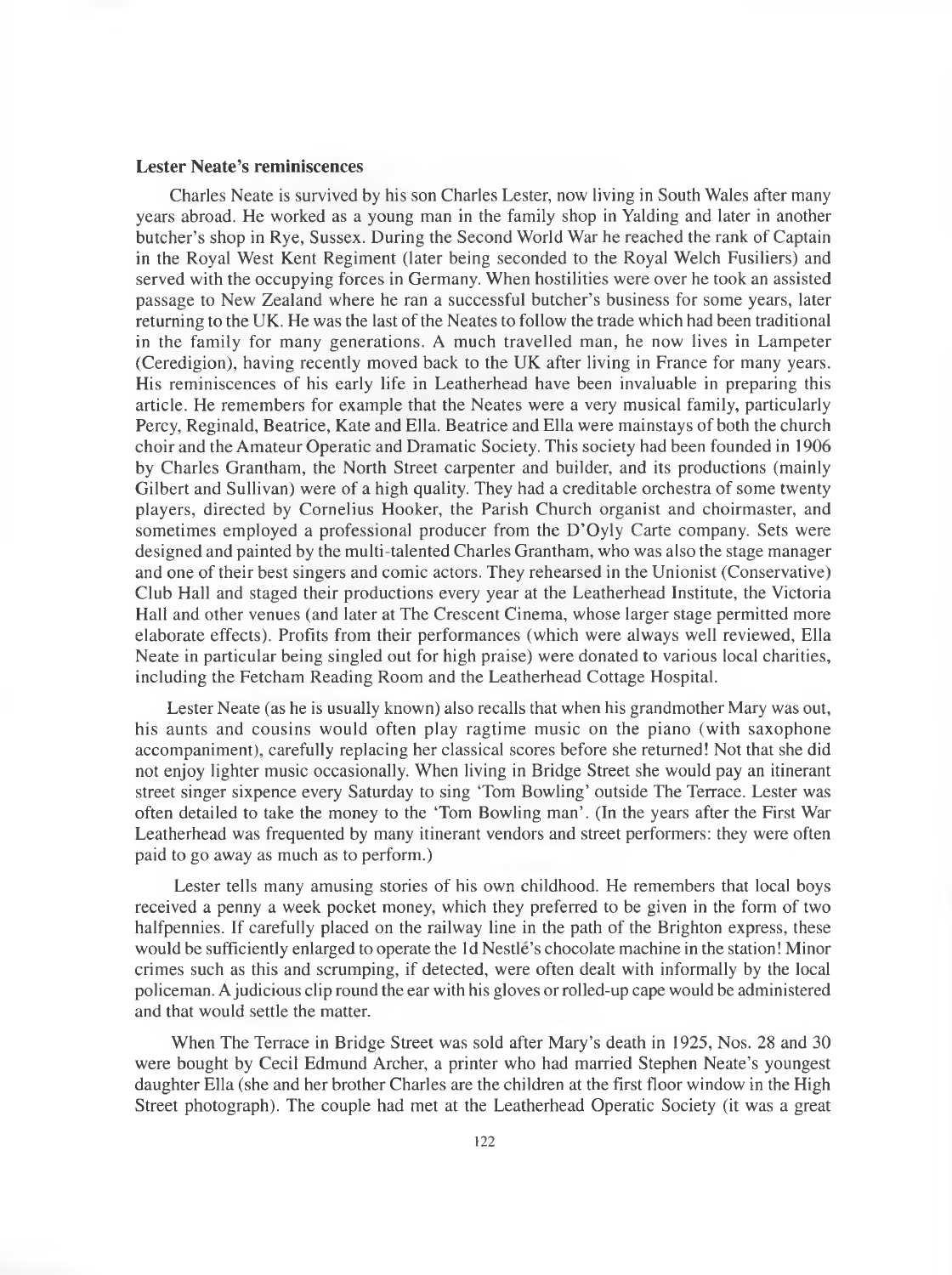## **Lester Neate's reminiscences**

Charles Neate is survived by his son Charles Lester, now living in South Wales after many years abroad. He worked as a young man in the family shop in Yalding and later in another butcher's shop in Rye, Sussex. During the Second World War he reached the rank of Captain in the Royal West Kent Regiment (later being seconded to the Royal Welch Fusiliers) and served with the occupying forces in Germany. When hostilities were over he took an assisted passage to New Zealand where he ran a successful butcher's business for some years, later returning to the UK. He was the last of the Neates to follow the trade which had been traditional in the family for many generations. A much travelled man, he now lives in Lampeter (Ceredigion), having recently moved back to the UK after living in France for many years. His reminiscences of his early life in Leatherhead have been invaluable in preparing this article. He remembers for example that the Neates were a very musical family, particularly Percy, Reginald, Beatrice, Kate and Ella. Beatrice and Ella were mainstays of both the church choir and the Amateur Operatic and Dramatic Society. This society had been founded in 1906 by Charles Grantham, the North Street carpenter and builder, and its productions (mainly Gilbert and Sullivan) were of a high quality. They had a creditable orchestra of some twenty players, directed by Cornelius Hooker, the Parish Church organist and choirmaster, and sometimes employed a professional producer from the D'Oyly Carte company. Sets were designed and painted by the multi-talented Charles Grantham, who was also the stage manager and one of their best singers and comic actors. They rehearsed in the Unionist (Conservative) Club Hall and staged their productions every year at the Leatherhead Institute, the Victoria Hall and other venues (and later at The Crescent Cinema, whose larger stage permitted more elaborate effects). Profits from their performances (which were always well reviewed, Ella Neate in particular being singled out for high praise) were donated to various local charities, including the Fetcham Reading Room and the Leatherhead Cottage Hospital.

Lester Neate (as he is usually known) also recalls that when his grandmother Mary was out, his aunts and cousins would often play ragtime music on the piano (with saxophone accompaniment), carefully replacing her classical scores before she returned! Not that she did not enjoy lighter music occasionally. When living in Bridge Street she would pay an itinerant street singer sixpence every Saturday to sing 'Tom Bowling' outside The Terrace. Lester was often detailed to take the money to the 'Tom Bowling man'. (In the years after the First War Leatherhead was frequented by many itinerant vendors and street performers: they were often paid to go away as much as to perform.)

Lester tells many amusing stories of his own childhood. He remembers that local boys received a penny a week pocket money, which they preferred to be given in the form of two halfpennies. If carefully placed on the railway line in the path of the Brighton express, these would be sufficiently enlarged to operate the Id Nestle's chocolate machine in the station! Minor crimes such as this and scrumping, if detected, were often dealt with informally by the local policeman. A judicious clip round the ear with his gloves or rolled-up cape would be administered and that would settle the matter.

When The Terrace in Bridge Street was sold after Mary's death in 1925, Nos. 28 and 30 were bought by Cecil Edmund Archer, a printer who had married Stephen Neate's youngest daughter Ella (she and her brother Charles are the children at the first floor window in the High Street photograph). The couple had met at the Leatherhead Operatic Society (it was a great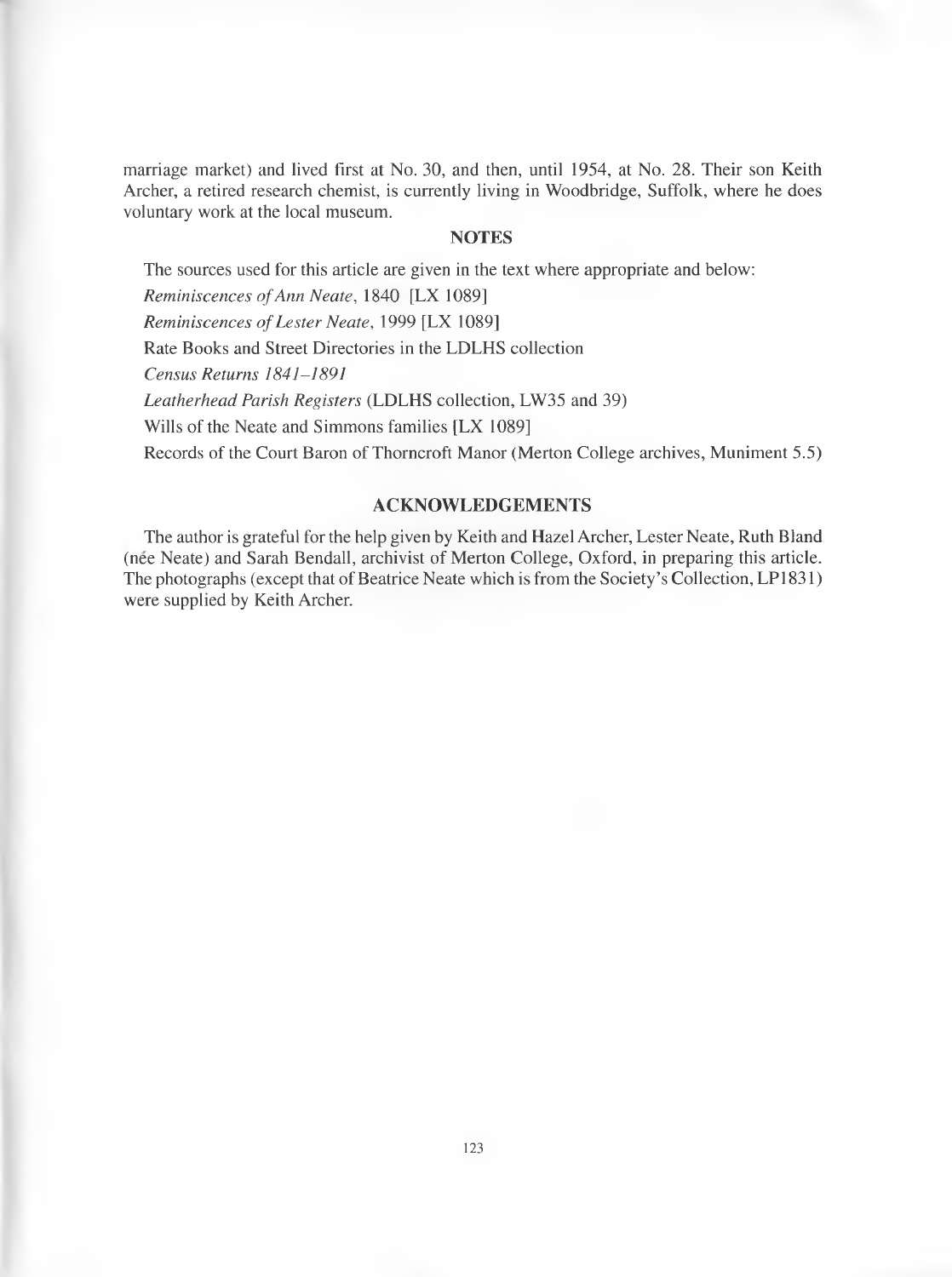marriage market) and lived first at No. 30, and then, until 1954, at No. 28. Their son Keith Archer, a retired research chemist, is currently living in Woodbridge, Suffolk, where he does voluntary work at the local museum.

# **NOTES**

The sources used for this article are given in the text where appropriate and below:

*Reminiscences of Ann Neate, 1840* [LX 1089]

*Reminiscences of Lester Neate, 1999* [LX 1089]

Rate Books and Street Directories in the LDLHS collection

*Census Returns 1841-1891*

*Leatherhead Parish Registers* (LDLHS collection, LW35 and 39)

Wills of the Neate and Simmons families [LX 1089]

Records of the Court Baron of Thorncroft Manor (Merton College archives, Muniment 5.5)

# **ACKNOWLEDGEMENTS**

The author is grateful for the help given by Keith and Hazel Archer, Lester Neate, Ruth Bland (nee Neate) and Sarah Bendall, archivist of Merton College, Oxford, in preparing this article. The photographs (except that of Beatrice Neate which is from the Society's Collection, LP1831) were supplied by Keith Archer.